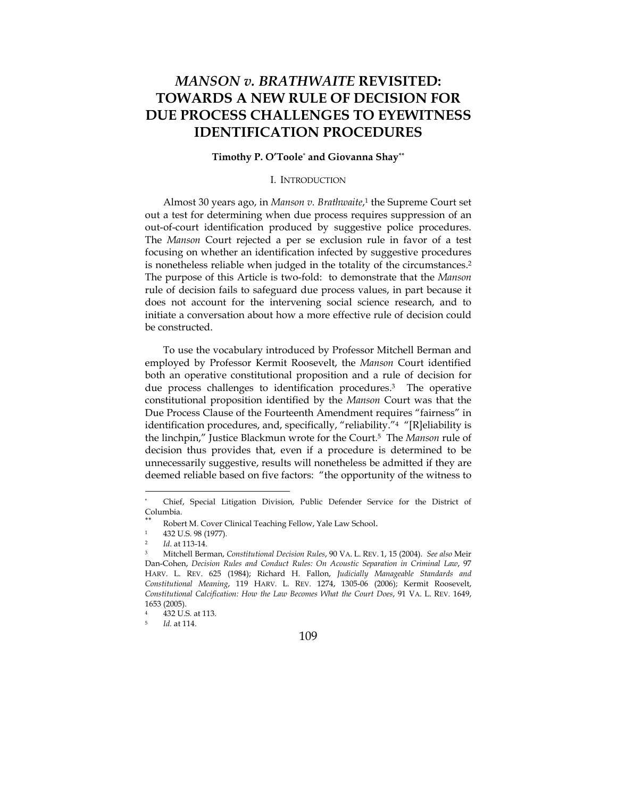# *MANSON v. BRATHWAITE* **REVISITED: TOWARDS A NEW RULE OF DECISION FOR DUE PROCESS CHALLENGES TO EYEWITNESS IDENTIFICATION PROCEDURES**

### **Timothy P. O'Toole**\*  **and Giovanna Shay\*\***

# I. INTRODUCTION

Almost 30 years ago, in *Manson v. Brathwaite*, 1 the Supreme Court set out a test for determining when due process requires suppression of an out-of-court identification produced by suggestive police procedures. The *Manson* Court rejected a per se exclusion rule in favor of a test focusing on whether an identification infected by suggestive procedures is nonetheless reliable when judged in the totality of the circumstances.2 The purpose of this Article is two-fold: to demonstrate that the *Manson* rule of decision fails to safeguard due process values, in part because it does not account for the intervening social science research, and to initiate a conversation about how a more effective rule of decision could be constructed.

To use the vocabulary introduced by Professor Mitchell Berman and employed by Professor Kermit Roosevelt, the *Manson* Court identified both an operative constitutional proposition and a rule of decision for due process challenges to identification procedures.3 The operative constitutional proposition identified by the *Manson* Court was that the Due Process Clause of the Fourteenth Amendment requires "fairness" in identification procedures, and, specifically, "reliability."4 "[R]eliability is the linchpin," Justice Blackmun wrote for the Court.5 The *Manson* rule of decision thus provides that, even if a procedure is determined to be unnecessarily suggestive, results will nonetheless be admitted if they are deemed reliable based on five factors: "the opportunity of the witness to

<sup>\*</sup> Chief, Special Litigation Division, Public Defender Service for the District of Columbia.

Robert M. Cover Clinical Teaching Fellow, Yale Law School.

<sup>1 432</sup> U.S. 98 (1977).

<sup>2</sup> *Id*. at 113-14. 3 Mitchell Berman, *Constitutional Decision Rules*, 90 VA. L. REV. 1, 15 (2004). *See also* Meir Dan-Cohen, *Decision Rules and Conduct Rules: On Acoustic Separation in Criminal Law*, 97 HARV. L. REV. 625 (1984); Richard H. Fallon, *Judicially Manageable Standards and Constitutional Meaning*, 119 HARV. L. REV. 1274, 1305-06 (2006); Kermit Roosevelt, *Constitutional Calcification: How the Law Becomes What the Court Does*, 91 VA. L. REV. 1649, 1653 (2005).

<sup>432</sup> U.S. at 113.

<sup>5</sup> *Id.* at 114.

<sup>109</sup>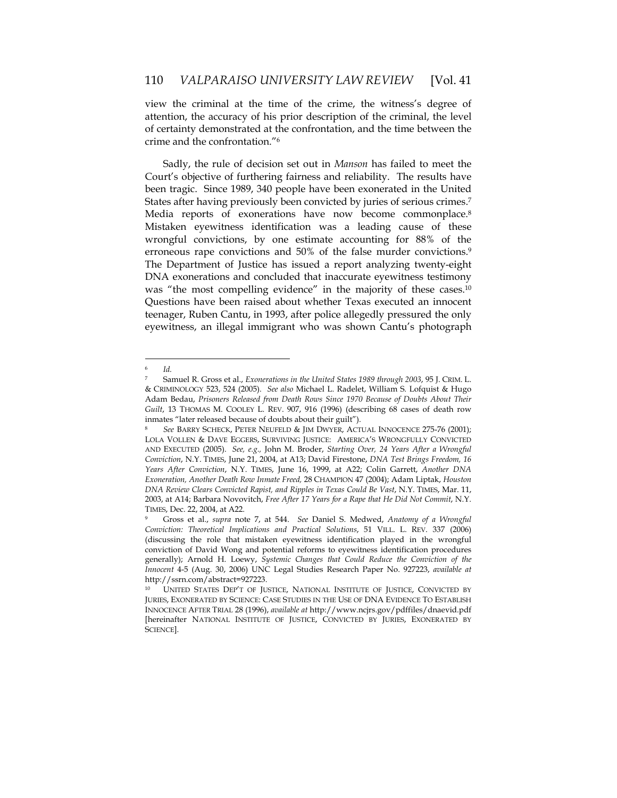view the criminal at the time of the crime, the witness's degree of attention, the accuracy of his prior description of the criminal, the level of certainty demonstrated at the confrontation, and the time between the crime and the confrontation."6

Sadly, the rule of decision set out in *Manson* has failed to meet the Court's objective of furthering fairness and reliability. The results have been tragic. Since 1989, 340 people have been exonerated in the United States after having previously been convicted by juries of serious crimes.7 Media reports of exonerations have now become commonplace.<sup>8</sup> Mistaken eyewitness identification was a leading cause of these wrongful convictions, by one estimate accounting for 88% of the erroneous rape convictions and 50% of the false murder convictions.<sup>9</sup> The Department of Justice has issued a report analyzing twenty-eight DNA exonerations and concluded that inaccurate eyewitness testimony was "the most compelling evidence" in the majority of these cases.<sup>10</sup> Questions have been raised about whether Texas executed an innocent teenager, Ruben Cantu, in 1993, after police allegedly pressured the only eyewitness, an illegal immigrant who was shown Cantu's photograph

<sup>6</sup> *Id.*

<sup>7</sup> Samuel R. Gross et al., *Exonerations in the United States 1989 through 2003*, 95 J. CRIM. L. & CRIMINOLOGY 523, 524 (2005). *See also* Michael L. Radelet, William S. Lofquist & Hugo Adam Bedau, *Prisoners Released from Death Rows Since 1970 Because of Doubts About Their Guilt*, 13 THOMAS M. COOLEY L. REV. 907, 916 (1996) (describing 68 cases of death row inmates "later released because of doubts about their guilt").

<sup>8</sup> *See* BARRY SCHECK, PETER NEUFELD & JIM DWYER, ACTUAL INNOCENCE 275-76 (2001); LOLA VOLLEN & DAVE EGGERS, SURVIVING JUSTICE: AMERICA'S WRONGFULLY CONVICTED AND EXECUTED (2005). *See, e.g.,* John M. Broder, *Starting Over, 24 Years After a Wrongful Conviction*, N.Y. TIMES, June 21, 2004, at A13; David Firestone, *DNA Test Brings Freedom, 16 Years After Conviction*, N.Y. TIMES, June 16, 1999, at A22; Colin Garrett, *Another DNA Exoneration, Another Death Row Inmate Freed,* 28 CHAMPION 47 (2004); Adam Liptak, *Houston DNA Review Clears Convicted Rapist, and Ripples in Texas Could Be Vast*, N.Y. TIMES, Mar. 11, 2003, at A14; Barbara Novovitch, *Free After 17 Years for a Rape that He Did Not Commit*, N.Y. TIMES, Dec. 22, 2004, at A22.

<sup>9</sup> Gross et al., *supra* note 7, at 544. *See* Daniel S. Medwed, *Anatomy of a Wrongful Conviction: Theoretical Implications and Practical Solutions*, 51 VILL. L. REV. 337 (2006) (discussing the role that mistaken eyewitness identification played in the wrongful conviction of David Wong and potential reforms to eyewitness identification procedures generally); Arnold H. Loewy, *Systemic Changes that Could Reduce the Conviction of the Innocent* 4-5 (Aug. 30, 2006) UNC Legal Studies Research Paper No. 927223, *available at* http://ssrn.com/abstract=927223.

UNITED STATES DEP'T OF JUSTICE, NATIONAL INSTITUTE OF JUSTICE, CONVICTED BY JURIES, EXONERATED BY SCIENCE: CASE STUDIES IN THE USE OF DNA EVIDENCE TO ESTABLISH INNOCENCE AFTER TRIAL 28 (1996), *available at* http://www.ncjrs.gov/pdffiles/dnaevid.pdf [hereinafter NATIONAL INSTITUTE OF JUSTICE, CONVICTED BY JURIES, EXONERATED BY SCIENCE].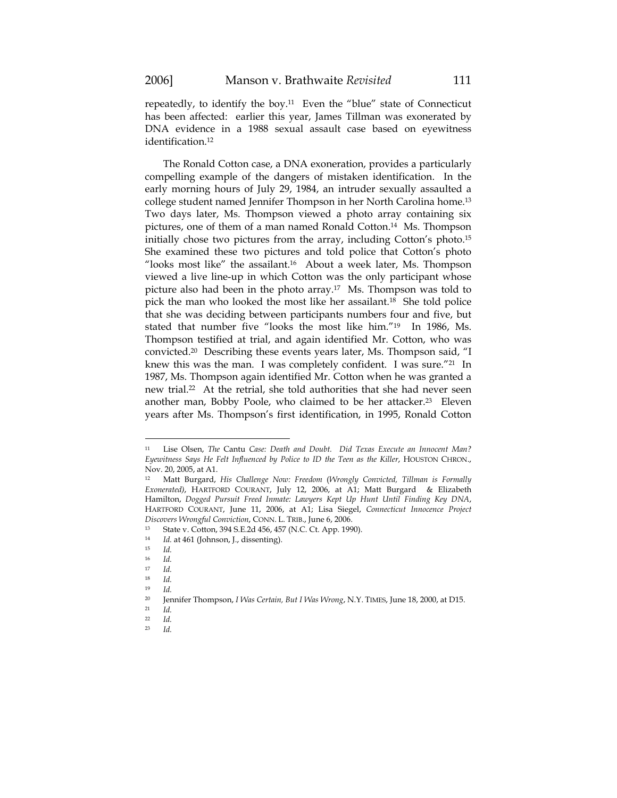repeatedly, to identify the boy.<sup>11</sup> Even the "blue" state of Connecticut has been affected: earlier this year, James Tillman was exonerated by DNA evidence in a 1988 sexual assault case based on eyewitness identification.12

The Ronald Cotton case, a DNA exoneration, provides a particularly compelling example of the dangers of mistaken identification. In the early morning hours of July 29, 1984, an intruder sexually assaulted a college student named Jennifer Thompson in her North Carolina home.13 Two days later, Ms. Thompson viewed a photo array containing six pictures, one of them of a man named Ronald Cotton.14 Ms. Thompson initially chose two pictures from the array, including Cotton's photo.15 She examined these two pictures and told police that Cotton's photo "looks most like" the assailant.16 About a week later, Ms. Thompson viewed a live line-up in which Cotton was the only participant whose picture also had been in the photo array.17 Ms. Thompson was told to pick the man who looked the most like her assailant.18 She told police that she was deciding between participants numbers four and five, but stated that number five "looks the most like him."19 In 1986, Ms. Thompson testified at trial, and again identified Mr. Cotton, who was convicted.20 Describing these events years later, Ms. Thompson said, "I knew this was the man. I was completely confident. I was sure."21 In 1987, Ms. Thompson again identified Mr. Cotton when he was granted a new trial.22 At the retrial, she told authorities that she had never seen another man, Bobby Poole, who claimed to be her attacker.23 Eleven years after Ms. Thompson's first identification, in 1995, Ronald Cotton

<sup>11</sup> Lise Olsen, *The* Cantu *Case: Death and Doubt. Did Texas Execute an Innocent Man? Eyewitness Says He Felt Influenced by Police to ID the Teen as the Killer*, HOUSTON CHRON., Nov. 20, 2005, at A1.

<sup>12</sup> Matt Burgard, *His Challenge Now: Freedom* (*Wrongly Convicted, Tillman is Formally Exonerated)*, HARTFORD COURANT, July 12, 2006, at A1; Matt Burgard & Elizabeth Hamilton, *Dogged Pursuit Freed Inmate: Lawyers Kept Up Hunt Until Finding Key DNA*, HARTFORD COURANT, June 11, 2006, at A1; Lisa Siegel, *Connecticut Innocence Project Discovers Wrongful Conviction, CONN. L. TRIB., June 6, 2006.*<br><sup>13</sup> State v. Cotton, 394 S.E.2d 456, 457 (N.C. Ct. App. 1990).

<sup>14</sup> *Id.* at 461 (Johnson, J., dissenting). 15 *Id.* 

<sup>16</sup> *Id.*

<sup>17</sup> *Id.*

 $\frac{18}{19}$  *Id.* 

 $\frac{19}{20}$  *Id.* 

<sup>20</sup> Jennifer Thompson, *I Was Certain, But I Was Wrong*, N.Y. TIMES, June 18, 2000, at D15. 21 *Id.*

 $\frac{22}{23}$  *Id.* 

<sup>23</sup> *Id.*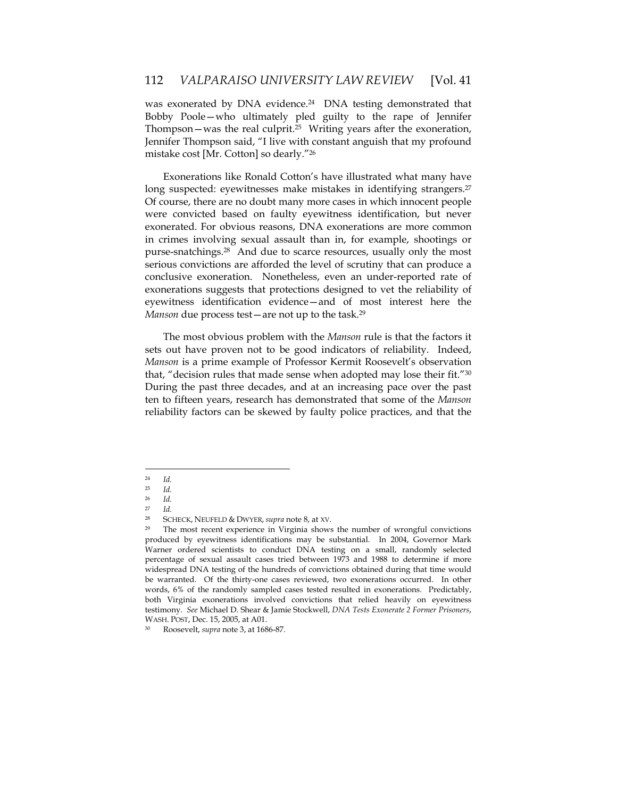was exonerated by DNA evidence.<sup>24</sup> DNA testing demonstrated that Bobby Poole—who ultimately pled guilty to the rape of Jennifer Thompson—was the real culprit.25 Writing years after the exoneration, Jennifer Thompson said, "I live with constant anguish that my profound mistake cost [Mr. Cotton] so dearly."26

Exonerations like Ronald Cotton's have illustrated what many have long suspected: eyewitnesses make mistakes in identifying strangers.<sup>27</sup> Of course, there are no doubt many more cases in which innocent people were convicted based on faulty eyewitness identification, but never exonerated. For obvious reasons, DNA exonerations are more common in crimes involving sexual assault than in, for example, shootings or purse-snatchings.28 And due to scarce resources, usually only the most serious convictions are afforded the level of scrutiny that can produce a conclusive exoneration. Nonetheless, even an under-reported rate of exonerations suggests that protections designed to vet the reliability of eyewitness identification evidence—and of most interest here the *Manson* due process test—are not up to the task.<sup>29</sup>

The most obvious problem with the *Manson* rule is that the factors it sets out have proven not to be good indicators of reliability. Indeed, *Manson* is a prime example of Professor Kermit Roosevelt's observation that, "decision rules that made sense when adopted may lose their fit."30 During the past three decades, and at an increasing pace over the past ten to fifteen years, research has demonstrated that some of the *Manson* reliability factors can be skewed by faulty police practices, and that the

<sup>24</sup> *Id.*

<sup>25</sup> *Id.*

 $\frac{26}{27}$  *Id.* <sup>27</sup> *Id.*

<sup>28</sup> SCHECK, NEUFELD & DWYER, *supra* note 8, at XV.

 $29$  The most recent experience in Virginia shows the number of wrongful convictions produced by eyewitness identifications may be substantial. In 2004, Governor Mark Warner ordered scientists to conduct DNA testing on a small, randomly selected percentage of sexual assault cases tried between 1973 and 1988 to determine if more widespread DNA testing of the hundreds of convictions obtained during that time would be warranted. Of the thirty-one cases reviewed, two exonerations occurred. In other words, 6% of the randomly sampled cases tested resulted in exonerations. Predictably, both Virginia exonerations involved convictions that relied heavily on eyewitness testimony. *See* Michael D. Shear & Jamie Stockwell, *DNA Tests Exonerate 2 Former Prisoners*,

WASH. POST, Dec. 15, 2005, at A01. 30 Roosevelt, *supra* note 3, at 1686-87.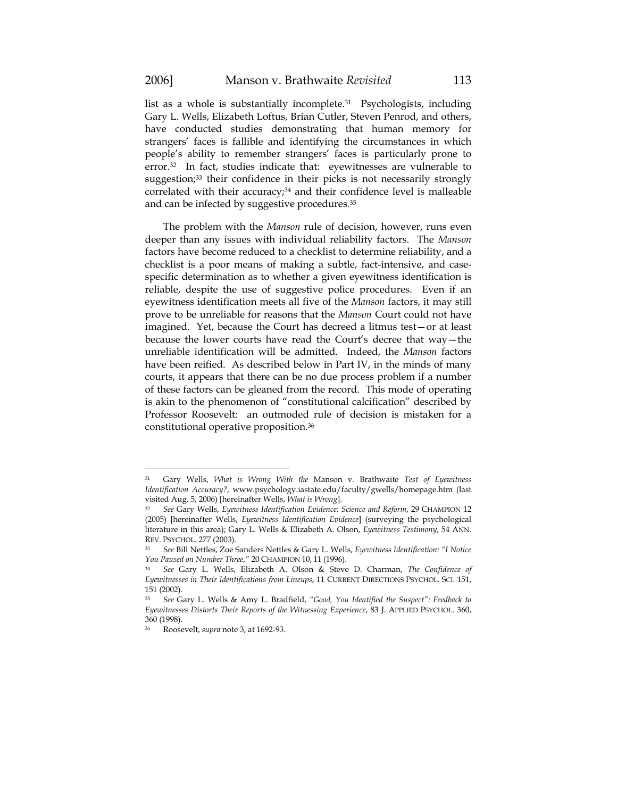$\overline{a}$ 

list as a whole is substantially incomplete.31 Psychologists, including Gary L. Wells, Elizabeth Loftus, Brian Cutler, Steven Penrod, and others, have conducted studies demonstrating that human memory for strangers' faces is fallible and identifying the circumstances in which people's ability to remember strangers' faces is particularly prone to error.32 In fact, studies indicate that: eyewitnesses are vulnerable to suggestion;<sup>33</sup> their confidence in their picks is not necessarily strongly correlated with their accuracy; $34$  and their confidence level is malleable and can be infected by suggestive procedures.35

The problem with the *Manson* rule of decision, however, runs even deeper than any issues with individual reliability factors. The *Manson* factors have become reduced to a checklist to determine reliability, and a checklist is a poor means of making a subtle, fact-intensive, and casespecific determination as to whether a given eyewitness identification is reliable, despite the use of suggestive police procedures. Even if an eyewitness identification meets all five of the *Manson* factors, it may still prove to be unreliable for reasons that the *Manson* Court could not have imagined. Yet, because the Court has decreed a litmus test—or at least because the lower courts have read the Court's decree that way—the unreliable identification will be admitted. Indeed, the *Manson* factors have been reified. As described below in Part IV, in the minds of many courts, it appears that there can be no due process problem if a number of these factors can be gleaned from the record. This mode of operating is akin to the phenomenon of "constitutional calcification" described by Professor Roosevelt: an outmoded rule of decision is mistaken for a constitutional operative proposition.36

<sup>31</sup> Gary Wells, *What is Wrong With the* Manson v. Brathwaite *Test of Eyewitness Identification Accuracy?*, www.psychology.iastate.edu/faculty/gwells/homepage.htm (last visited Aug. 5, 2006) [hereinafter Wells, *What is Wrong*].

<sup>32</sup> *See* Gary Wells, *Eyewitness Identification Evidence: Science and Reform*, 29 CHAMPION 12 (2005) [hereinafter Wells, *Eyewitness Identification Evidence*] (surveying the psychological literature in this area); Gary L. Wells & Elizabeth A. Olson, *Eyewitness Testimony*, 54 ANN. REV. PSYCHOL. 277 (2003). 33 *See* Bill Nettles, Zoe Sanders Nettles & Gary L. Wells, *Eyewitness Identification: "I Notice* 

*You Paused on Number Three*,*"*<sup>20</sup> CHAMPION 10, <sup>11</sup> (1996). 34 *See* Gary L. Wells, Elizabeth A. Olson & Steve D. Charman, *The Confidence of* 

*Eyewitnesses in Their Identifications from Lineups*, 11 CURRENT DIRECTIONS PSYCHOL. SCI. 151, 151 (2002).

<sup>35</sup> *See* Gary L. Wells & Amy L. Bradfield, *"Good, You Identified the Suspect": Feedback to Eyewitnesses Distorts Their Reports of the Witnessing Experience*, 83 J. APPLIED PSYCHOL. 360, 360 (1998).

<sup>36</sup> Roosevelt, *supra* note 3, at 1692-93.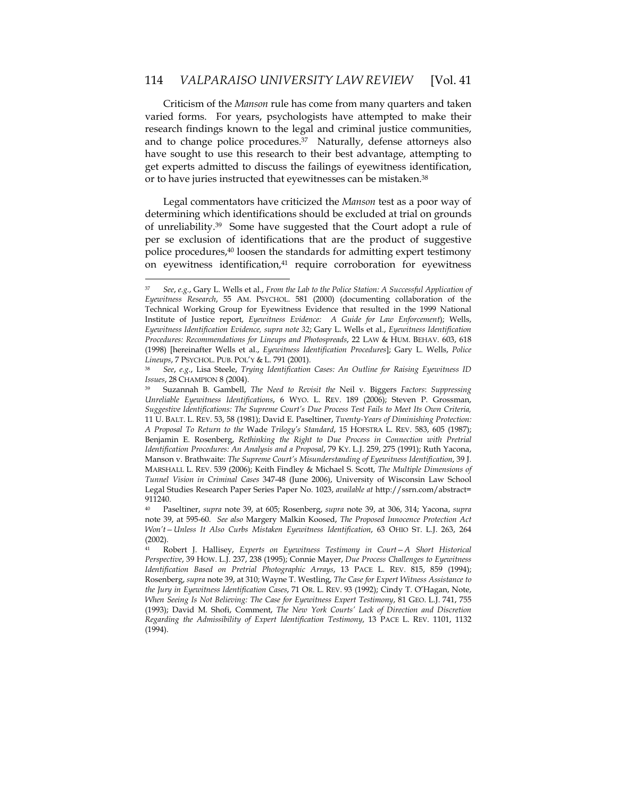Criticism of the *Manson* rule has come from many quarters and taken varied forms. For years, psychologists have attempted to make their research findings known to the legal and criminal justice communities, and to change police procedures.<sup>37</sup> Naturally, defense attorneys also have sought to use this research to their best advantage, attempting to get experts admitted to discuss the failings of eyewitness identification, or to have juries instructed that eyewitnesses can be mistaken.38

Legal commentators have criticized the *Manson* test as a poor way of determining which identifications should be excluded at trial on grounds of unreliability.39 Some have suggested that the Court adopt a rule of per se exclusion of identifications that are the product of suggestive police procedures,40 loosen the standards for admitting expert testimony on eyewitness identification,<sup>41</sup> require corroboration for eyewitness

<sup>37</sup> *See*, *e.g.*, Gary L. Wells et al., *From the Lab to the Police Station: A Successful Application of Eyewitness Research*, 55 AM. PSYCHOL. 581 (2000) (documenting collaboration of the Technical Working Group for Eyewitness Evidence that resulted in the 1999 National Institute of Justice report, *Eyewitness Evidence: A Guide for Law Enforcement*); Wells, *Eyewitness Identification Evidence, supra note 32*; Gary L. Wells et al., *Eyewitness Identification Procedures: Recommendations for Lineups and Photospreads*, 22 LAW & HUM. BEHAV. 603, 618 (1998) [hereinafter Wells et al., *Eyewitness Identification Procedures*]; Gary L. Wells, *Police* 

*Lineups*, 7 PSYCHOL. PUB. POL'Y & L. 791 (2001). 38 *See*, *e.g.*, Lisa Steele, *Trying Identification Cases: An Outline for Raising Eyewitness ID Issues*, 28 CHAMPION 8 (2004).

<sup>39</sup> Suzannah B. Gambell, *The Need to Revisit the* Neil v. Biggers *Factors*: *Suppressing Unreliable Eyewitness Identifications*, 6 WYO. L. REV. 189 (2006); Steven P. Grossman, *Suggestive Identifications: The Supreme Court's Due Process Test Fails to Meet Its Own Criteria,* 11 U. BALT. L. REV. 53, 58 (1981); David E. Paseltiner, *Twenty-Years of Diminishing Protection: A Proposal To Return to the* Wade *Trilogy's Standard*, 15 HOFSTRA L. REV. 583, 605 (1987); Benjamin E. Rosenberg, *Rethinking the Right to Due Process in Connection with Pretrial Identification Procedures: An Analysis and a Proposal*, 79 KY. L.J. 259, 275 (1991); Ruth Yacona, Manson v. Brathwaite: *The Supreme Court's Misunderstanding of Eyewitness Identification*, 39 J. MARSHALL L. REV. 539 (2006); Keith Findley & Michael S. Scott, *The Multiple Dimensions of Tunnel Vision in Criminal Cases* 347-48 (June 2006), University of Wisconsin Law School Legal Studies Research Paper Series Paper No. 1023, *available at* http://ssrn.com/abstract= 911240.

<sup>40</sup> Paseltiner, *supra* note 39, at 605; Rosenberg, *supra* note 39, at 306, 314; Yacona, *supra* note 39, at 595-60. *See also* Margery Malkin Koosed, *The Proposed Innocence Protection Act Won't—Unless It Also Curbs Mistaken Eyewitness Identification*, 63 OHIO ST. L.J. 263, 264 (2002).

<sup>41</sup> Robert J. Hallisey, *Experts on Eyewitness Testimony in Court—A Short Historical Perspective*, 39 HOW. L.J. 237, 238 (1995); Connie Mayer, *Due Process Challenges to Eyewitness Identification Based on Pretrial Photographic Arrays*, 13 PACE L. REV. 815, 859 (1994); Rosenberg, *supra* note 39, at 310; Wayne T. Westling, *The Case for Expert Witness Assistance to the Jury in Eyewitness Identification Cases*, 71 OR. L. REV. 93 (1992); Cindy T. O'Hagan, Note, *When Seeing Is Not Believing: The Case for Eyewitness Expert Testimony*, 81 GEO. L.J. 741, 755 (1993); David M. Shofi, Comment, *The New York Courts' Lack of Direction and Discretion Regarding the Admissibility of Expert Identification Testimony*, 13 PACE L. REV. 1101, 1132 (1994).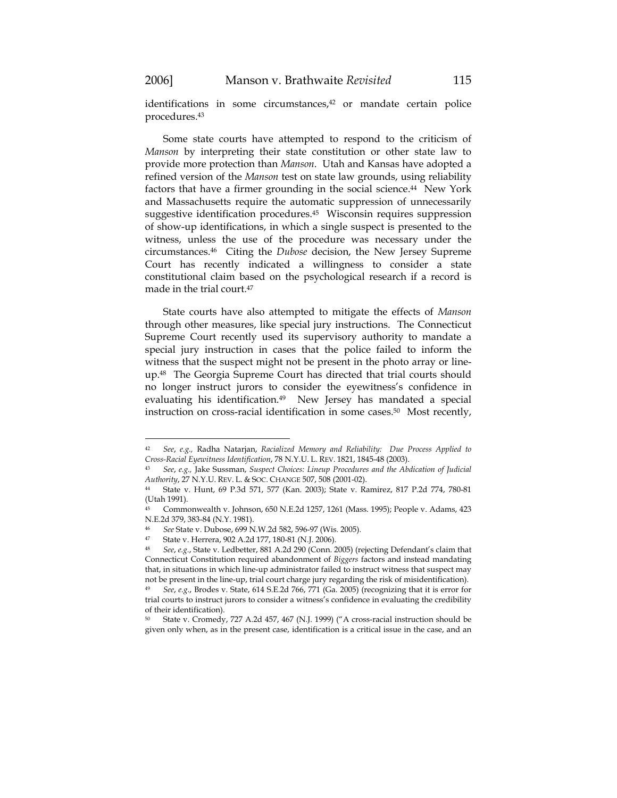$\overline{a}$ 

identifications in some circumstances,<sup>42</sup> or mandate certain police procedures.43

Some state courts have attempted to respond to the criticism of *Manson* by interpreting their state constitution or other state law to provide more protection than *Manson*. Utah and Kansas have adopted a refined version of the *Manson* test on state law grounds, using reliability factors that have a firmer grounding in the social science.<sup>44</sup> New York and Massachusetts require the automatic suppression of unnecessarily suggestive identification procedures.45 Wisconsin requires suppression of show-up identifications, in which a single suspect is presented to the witness, unless the use of the procedure was necessary under the circumstances.46 Citing the *Dubose* decision, the New Jersey Supreme Court has recently indicated a willingness to consider a state constitutional claim based on the psychological research if a record is made in the trial court.47

State courts have also attempted to mitigate the effects of *Manson* through other measures, like special jury instructions. The Connecticut Supreme Court recently used its supervisory authority to mandate a special jury instruction in cases that the police failed to inform the witness that the suspect might not be present in the photo array or lineup.48 The Georgia Supreme Court has directed that trial courts should no longer instruct jurors to consider the eyewitness's confidence in evaluating his identification.<sup>49</sup> New Jersey has mandated a special instruction on cross-racial identification in some cases.<sup>50</sup> Most recently,

<sup>42</sup> *See*, *e.g.,* Radha Natarjan, *Racialized Memory and Reliability: Due Process Applied to Cross-Racial Eyewitness Identification*, 78 N.Y.U. L. REV. 1821, 1845-48 (2003). 43 *See*, *e.g.,* Jake Sussman, *Suspect Choices: Lineup Procedures and the Abdication of Judicial* 

*Authority*, 27 N.Y.U. REV. L. & SOC. CHANGE 507, 508 (2001-02).

<sup>44</sup> State v. Hunt, 69 P.3d 571, 577 (Kan. 2003); State v. Ramirez, 817 P.2d 774, 780-81 (Utah 1991).

<sup>45</sup> Commonwealth v. Johnson, 650 N.E.2d 1257, 1261 (Mass. 1995); People v. Adams, 423 N.E.2d 379, 383-84 (N.Y. 1981).

<sup>46</sup> *See* State v. Dubose, 699 N.W.2d 582, 596-97 (Wis. 2005).

<sup>47</sup> State v. Herrera, 902 A.2d 177, 180-81 (N.J. 2006).<br>48 See e.g. State v. Lodbotter, 881, A.2d 290 (Conn. 2

<sup>48</sup> *See*, *e.g.*, State v. Ledbetter, 881 A.2d 290 (Conn. 2005) (rejecting Defendant's claim that Connecticut Constitution required abandonment of *Biggers* factors and instead mandating that, in situations in which line-up administrator failed to instruct witness that suspect may not be present in the line-up, trial court charge jury regarding the risk of misidentification). <sup>49</sup> *See*, *e.g.*, Brodes v. State, 614 S.E.2d 766, 771 (Ga. 2005) (recognizing that it is error for

trial courts to instruct jurors to consider a witness's confidence in evaluating the credibility of their identification).

<sup>50</sup> State v. Cromedy, 727 A.2d 457, 467 (N.J. 1999) ("A cross-racial instruction should be given only when, as in the present case, identification is a critical issue in the case, and an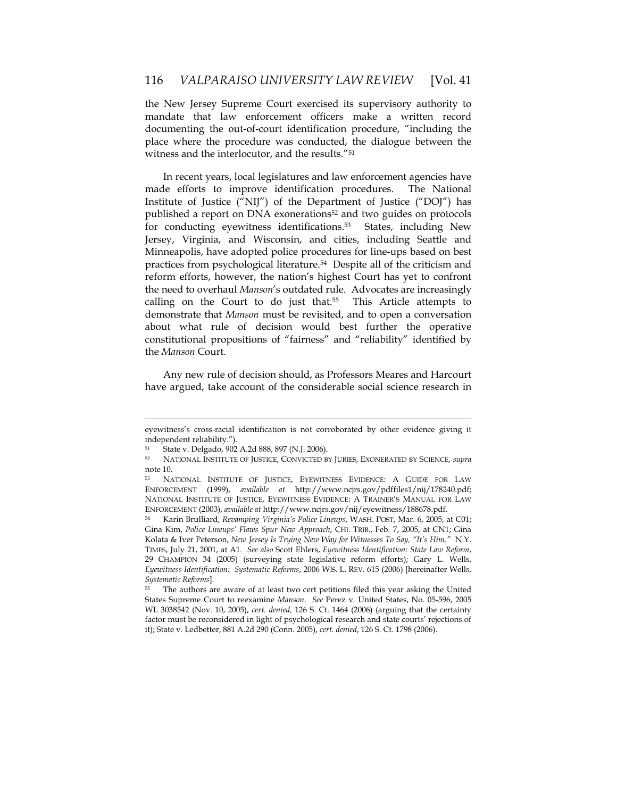the New Jersey Supreme Court exercised its supervisory authority to mandate that law enforcement officers make a written record documenting the out-of-court identification procedure, "including the place where the procedure was conducted, the dialogue between the witness and the interlocutor, and the results."51

In recent years, local legislatures and law enforcement agencies have made efforts to improve identification procedures. The National Institute of Justice ("NIJ") of the Department of Justice ("DOJ") has published a report on DNA exonerations<sup>52</sup> and two guides on protocols for conducting eyewitness identifications.<sup>53</sup> States, including New Jersey, Virginia, and Wisconsin, and cities, including Seattle and Minneapolis, have adopted police procedures for line-ups based on best practices from psychological literature.54 Despite all of the criticism and reform efforts, however, the nation's highest Court has yet to confront the need to overhaul *Manson*'s outdated rule. Advocates are increasingly calling on the Court to do just that.<sup>55</sup> This Article attempts to demonstrate that *Manson* must be revisited, and to open a conversation about what rule of decision would best further the operative constitutional propositions of "fairness" and "reliability" identified by the *Manson* Court.

Any new rule of decision should, as Professors Meares and Harcourt have argued, take account of the considerable social science research in

eyewitness's cross-racial identification is not corroborated by other evidence giving it independent reliability.").

<sup>51</sup> State v. Delgado, 902 A.2d 888, 897 (N.J. 2006).

<sup>52</sup> NATIONAL INSTITUTE OF JUSTICE, CONVICTED BY JURIES, EXONERATED BY SCIENCE, *supra* note 10.

<sup>53</sup> NATIONAL INSTITUTE OF JUSTICE, EYEWITNESS EVIDENCE: A GUIDE FOR LAW ENFORCEMENT (1999), *available at* http://www.ncjrs.gov/pdffiles1/nij/178240.pdf; NATIONAL INSTITUTE OF JUSTICE, EYEWITNESS EVIDENCE: A TRAINER'S MANUAL FOR LAW ENFORCEMENT (2003), *available at* http://www.ncjrs.gov/nij/eyewitness/188678.pdf.

<sup>54</sup> Karin Brulliard, *Revamping Virginia's Police Lineups*, WASH. POST, Mar. 6, 2005, at C01; Gina Kim, *Police Lineups' Flaws Spur New Approach*, CHI. TRIB., Feb. 7, 2005, at CN1; Gina Kolata & Iver Peterson, *New Jersey Is Trying New Way for Witnesses To Say, "It's Him,"* N.Y. TIMES, July 21, 2001, at A1. *See also* Scott Ehlers, *Eyewitness Identification: State Law Reform*, 29 CHAMPION 34 (2005) (surveying state legislative reform efforts); Gary L. Wells, *Eyewitness Identification: Systematic Reforms*, 2006 WIS. L. REV. 615 (2006) [hereinafter Wells, *Systematic Reforms*].

<sup>55</sup> The authors are aware of at least two cert petitions filed this year asking the United States Supreme Court to reexamine *Manson*. *See* Perez v. United States, No. 05-596, 2005 WL 3038542 (Nov. 10, 2005), *cert. denied,* 126 S. Ct. 1464 (2006) (arguing that the certainty factor must be reconsidered in light of psychological research and state courts' rejections of it); State v. Ledbetter, 881 A.2d 290 (Conn. 2005), *cert. denied*, 126 S. Ct. 1798 (2006).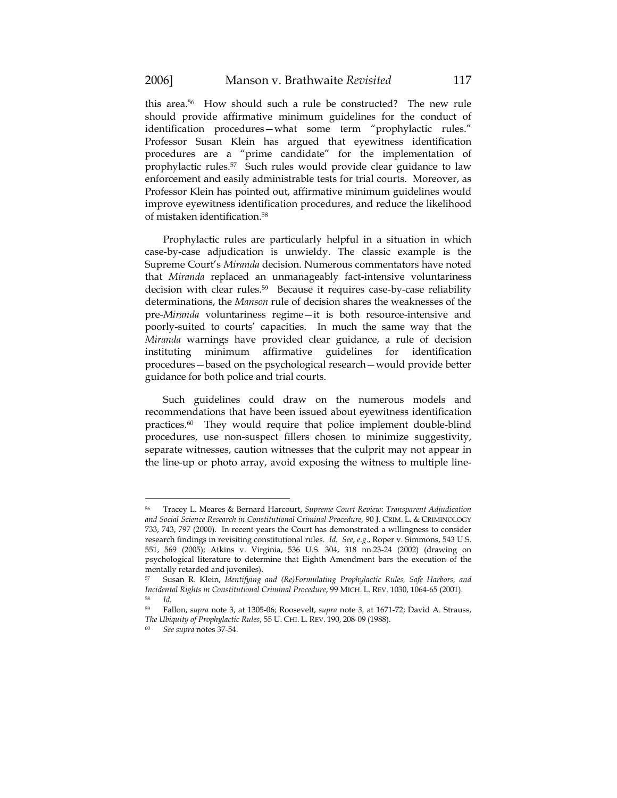this area.56 How should such a rule be constructed? The new rule should provide affirmative minimum guidelines for the conduct of identification procedures—what some term "prophylactic rules." Professor Susan Klein has argued that eyewitness identification procedures are a "prime candidate" for the implementation of prophylactic rules.<sup>57</sup> Such rules would provide clear guidance to law enforcement and easily administrable tests for trial courts. Moreover, as Professor Klein has pointed out, affirmative minimum guidelines would improve eyewitness identification procedures, and reduce the likelihood of mistaken identification.58

Prophylactic rules are particularly helpful in a situation in which case-by-case adjudication is unwieldy. The classic example is the Supreme Court's *Miranda* decision. Numerous commentators have noted that *Miranda* replaced an unmanageably fact-intensive voluntariness decision with clear rules.59 Because it requires case-by-case reliability determinations, the *Manson* rule of decision shares the weaknesses of the pre-*Miranda* voluntariness regime—it is both resource-intensive and poorly-suited to courts' capacities. In much the same way that the *Miranda* warnings have provided clear guidance, a rule of decision instituting minimum affirmative guidelines for identification procedures—based on the psychological research—would provide better guidance for both police and trial courts.

Such guidelines could draw on the numerous models and recommendations that have been issued about eyewitness identification practices.60 They would require that police implement double-blind procedures, use non-suspect fillers chosen to minimize suggestivity, separate witnesses, caution witnesses that the culprit may not appear in the line-up or photo array, avoid exposing the witness to multiple line-

<sup>56</sup> Tracey L. Meares & Bernard Harcourt, *Supreme Court Review: Transparent Adjudication and Social Science Research in Constitutional Criminal Procedure,* 90 J. CRIM. L. & CRIMINOLOGY 733, 743, 797 (2000). In recent years the Court has demonstrated a willingness to consider research findings in revisiting constitutional rules. *Id. See*, *e.g.*, Roper v. Simmons, 543 U.S. 551, 569 (2005); Atkins v. Virginia, 536 U.S. 304, 318 nn.23-24 (2002) (drawing on psychological literature to determine that Eighth Amendment bars the execution of the mentally retarded and juveniles).

<sup>57</sup> Susan R. Klein, *Identifying and (Re)Formulating Prophylactic Rules, Safe Harbors, and Incidental Rights in Constitutional Criminal Procedure*, 99 MICH. L. REV. 1030, 1064-65 (2001). 58 *Id.*

<sup>59</sup> Fallon, *supra* note 3, at 1305-06; Roosevelt, *supra* note *3,* at 1671-72; David A. Strauss, *The Ubiquity of Prophylactic Rules*, 55 U. CHI. L. REV. 190, 208-09 (1988). 60 *See supra* notes 37-54.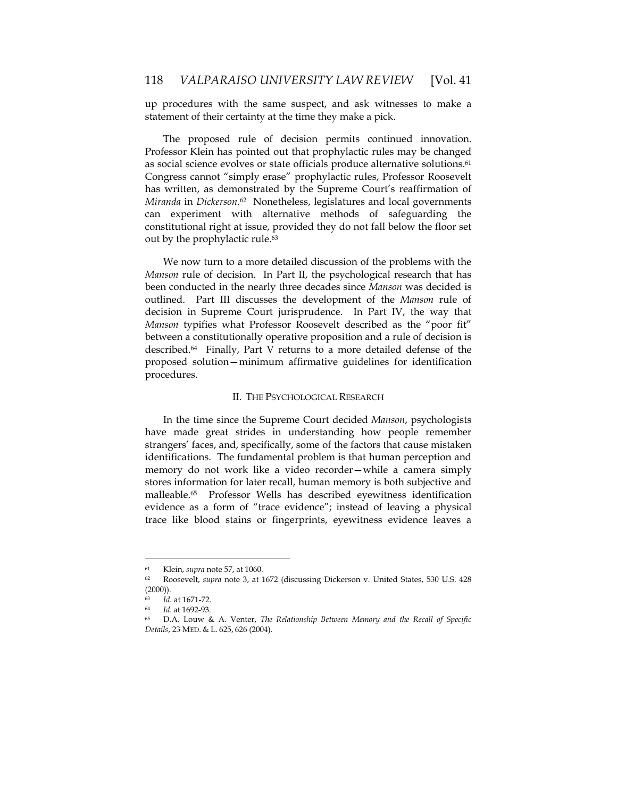up procedures with the same suspect, and ask witnesses to make a statement of their certainty at the time they make a pick.

The proposed rule of decision permits continued innovation. Professor Klein has pointed out that prophylactic rules may be changed as social science evolves or state officials produce alternative solutions.<sup>61</sup> Congress cannot "simply erase" prophylactic rules, Professor Roosevelt has written, as demonstrated by the Supreme Court's reaffirmation of *Miranda* in *Dickerson*. 62 Nonetheless, legislatures and local governments can experiment with alternative methods of safeguarding the constitutional right at issue, provided they do not fall below the floor set out by the prophylactic rule.<sup>63</sup>

We now turn to a more detailed discussion of the problems with the *Manson* rule of decision. In Part II, the psychological research that has been conducted in the nearly three decades since *Manson* was decided is outlined. Part III discusses the development of the *Manson* rule of decision in Supreme Court jurisprudence. In Part IV, the way that *Manson* typifies what Professor Roosevelt described as the "poor fit" between a constitutionally operative proposition and a rule of decision is described.64 Finally, Part V returns to a more detailed defense of the proposed solution—minimum affirmative guidelines for identification procedures.

# II. THE PSYCHOLOGICAL RESEARCH

In the time since the Supreme Court decided *Manson*, psychologists have made great strides in understanding how people remember strangers' faces, and, specifically, some of the factors that cause mistaken identifications. The fundamental problem is that human perception and memory do not work like a video recorder—while a camera simply stores information for later recall, human memory is both subjective and malleable.65 Professor Wells has described eyewitness identification evidence as a form of "trace evidence"; instead of leaving a physical trace like blood stains or fingerprints, eyewitness evidence leaves a

<sup>61</sup> Klein, *supra* note 57, at 1060.

<sup>62</sup> Roosevelt, *supra* note 3, at 1672 (discussing Dickerson v. United States, 530 U.S. 428  $(2000)$ ).

<sup>63</sup> *Id*. at 1671-72. 64 *Id*. at 1692-93.

<sup>65</sup> D.A. Louw & A. Venter, *The Relationship Between Memory and the Recall of Specific Details*, 23 MED. & L. 625, 626 (2004).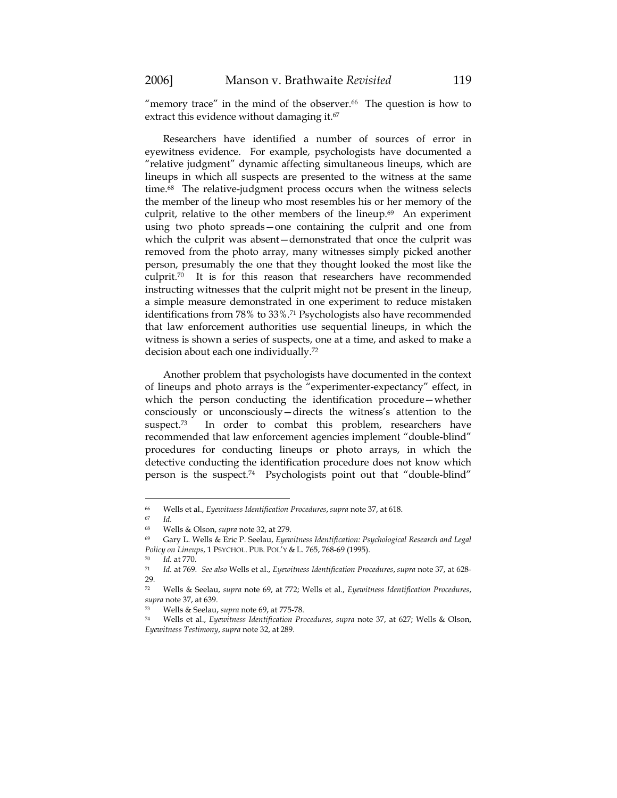"memory trace" in the mind of the observer. $66$  The question is how to extract this evidence without damaging it.<sup>67</sup>

Researchers have identified a number of sources of error in eyewitness evidence. For example, psychologists have documented a "relative judgment" dynamic affecting simultaneous lineups, which are lineups in which all suspects are presented to the witness at the same time.<sup>68</sup> The relative-judgment process occurs when the witness selects the member of the lineup who most resembles his or her memory of the culprit, relative to the other members of the lineup.<sup>69</sup> An experiment using two photo spreads—one containing the culprit and one from which the culprit was absent—demonstrated that once the culprit was removed from the photo array, many witnesses simply picked another person, presumably the one that they thought looked the most like the culprit.70 It is for this reason that researchers have recommended instructing witnesses that the culprit might not be present in the lineup, a simple measure demonstrated in one experiment to reduce mistaken identifications from 78% to 33%.71 Psychologists also have recommended that law enforcement authorities use sequential lineups, in which the witness is shown a series of suspects, one at a time, and asked to make a decision about each one individually.72

Another problem that psychologists have documented in the context of lineups and photo arrays is the "experimenter-expectancy" effect, in which the person conducting the identification procedure—whether consciously or unconsciously—directs the witness's attention to the suspect.<sup>73</sup> In order to combat this problem, researchers have recommended that law enforcement agencies implement "double-blind" procedures for conducting lineups or photo arrays, in which the detective conducting the identification procedure does not know which person is the suspect.74 Psychologists point out that "double-blind"

<sup>66</sup> Wells et al., *Eyewitness Identification Procedures*, *supra* note 37, at 618.

<sup>67</sup> *Id.*

<sup>68</sup> Wells & Olson, *supra* note 32, at 279.

<sup>69</sup> Gary L. Wells & Eric P. Seelau, *Eyewitness Identification: Psychological Research and Legal Policy on Lineups,* 1 PSYCHOL. PUB. POL'Y & L. 765, 768-69 (1995).<br><sup>70</sup> *Id.* at 770.<br><sup>71</sup> *Id.* at 769. *See also* Wells et al., *Eyewitness Identification Procedures, supra* note 37, at 628-

 $\frac{29}{72}$ 

<sup>72</sup> Wells & Seelau, *supra* note 69, at 772; Wells et al., *Eyewitness Identification Procedures*, *supra* note 37, at 639.

<sup>73</sup> Wells & Seelau, *supra* note 69, at 775-78.

<sup>74</sup> Wells et al., *Eyewitness Identification Procedures*, *supra* note 37, at 627; Wells & Olson, *Eyewitness Testimony*, *supra* note 32, at 289.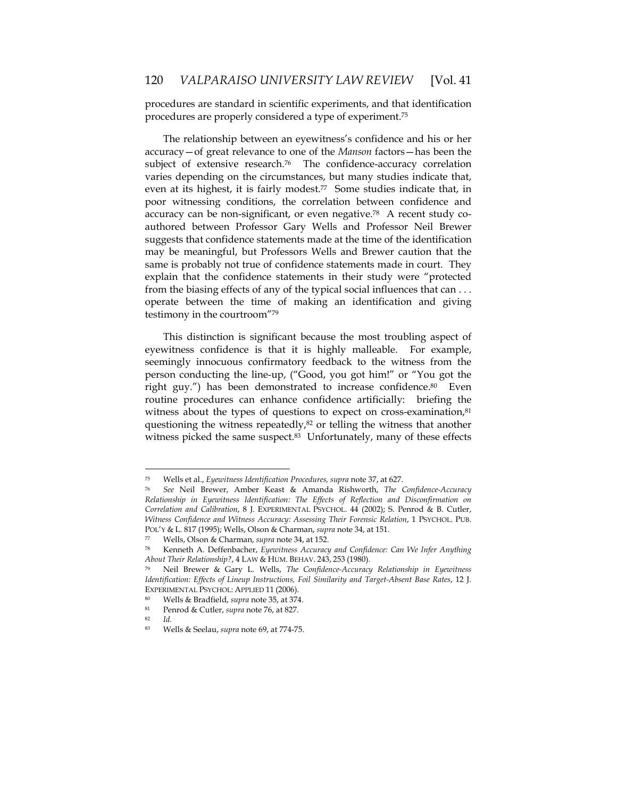procedures are standard in scientific experiments, and that identification procedures are properly considered a type of experiment.75

The relationship between an eyewitness's confidence and his or her accuracy—of great relevance to one of the *Manson* factors—has been the subject of extensive research.<sup>76</sup> The confidence-accuracy correlation varies depending on the circumstances, but many studies indicate that, even at its highest, it is fairly modest.<sup>77</sup> Some studies indicate that, in poor witnessing conditions, the correlation between confidence and accuracy can be non-significant, or even negative.78 A recent study coauthored between Professor Gary Wells and Professor Neil Brewer suggests that confidence statements made at the time of the identification may be meaningful, but Professors Wells and Brewer caution that the same is probably not true of confidence statements made in court. They explain that the confidence statements in their study were "protected from the biasing effects of any of the typical social influences that can . . . operate between the time of making an identification and giving testimony in the courtroom"79

This distinction is significant because the most troubling aspect of eyewitness confidence is that it is highly malleable. For example, seemingly innocuous confirmatory feedback to the witness from the person conducting the line-up, ("Good, you got him!" or "You got the right guy.") has been demonstrated to increase confidence.<sup>80</sup> Even routine procedures can enhance confidence artificially: briefing the witness about the types of questions to expect on cross-examination, $81$ questioning the witness repeatedly,<sup>82</sup> or telling the witness that another witness picked the same suspect.<sup>83</sup> Unfortunately, many of these effects

<sup>82</sup> *Id.*

<sup>75</sup> Wells et al., *Eyewitness Identification Procedures, supra* note 37, at 627.

<sup>76</sup> *See* Neil Brewer, Amber Keast & Amanda Rishworth, *The Confidence-Accuracy Relationship in Eyewitness Identification: The Effects of Reflection and Disconfirmation on Correlation and Calibration*, 8 J. EXPERIMENTAL PSYCHOL. 44 (2002); S. Penrod & B. Cutler, *Witness Confidence and Witness Accuracy: Assessing Their Forensic Relation*, 1 PSYCHOL. PUB. POL'Y & L. 817 (1995); Wells, Olson & Charman, *supra* note 34, at 151.

<sup>77</sup> Wells, Olson & Charman, *supra* note 34, at 152.<br><sup>78</sup> Kenneth A. Deffenbacher, *Eyewitness Accuracy and Confidence: Can We Infer Anything About Their Relationship?*, 4 LAW & HUM. BEHAV. 243, 253 (1980).

<sup>79</sup> Neil Brewer & Gary L. Wells, *The Confidence-Accuracy Relationship in Eyewitness Identification: Effects of Lineup Instructions, Foil Similarity and Target-Absent Base Rates*, 12 J. EXPERIMENTAL PSYCHOL: APPLIED 11 (2006). 80 Wells & Bradfield, *supra* note 35, at 374. 81 Penrod & Cutler, *supra* note 76, at 827.

<sup>83</sup> Wells & Seelau, *supra* note 69, at 774-75.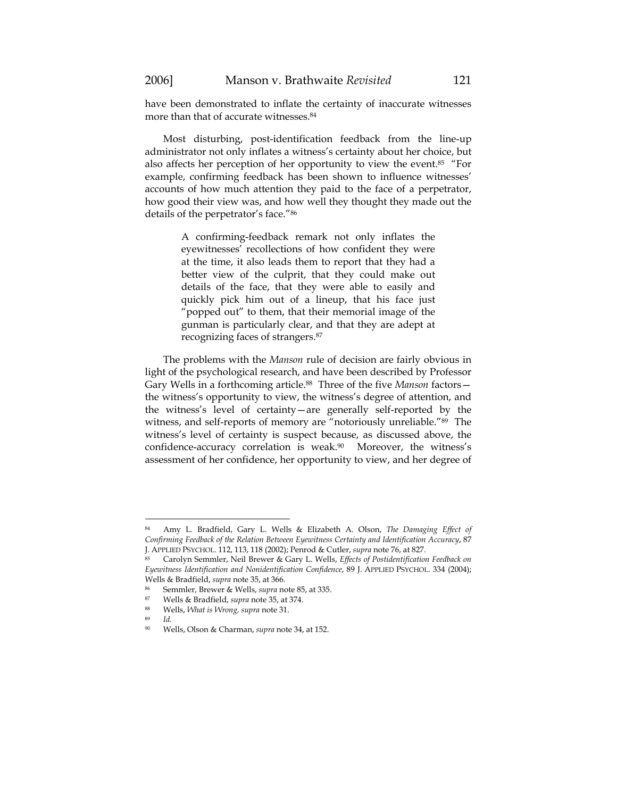have been demonstrated to inflate the certainty of inaccurate witnesses more than that of accurate witnesses.<sup>84</sup>

Most disturbing, post-identification feedback from the line-up administrator not only inflates a witness's certainty about her choice, but also affects her perception of her opportunity to view the event.<sup>85</sup> "For example, confirming feedback has been shown to influence witnesses' accounts of how much attention they paid to the face of a perpetrator, how good their view was, and how well they thought they made out the details of the perpetrator's face."86

> A confirming-feedback remark not only inflates the eyewitnesses' recollections of how confident they were at the time, it also leads them to report that they had a better view of the culprit, that they could make out details of the face, that they were able to easily and quickly pick him out of a lineup, that his face just "popped out" to them, that their memorial image of the gunman is particularly clear, and that they are adept at recognizing faces of strangers.87

The problems with the *Manson* rule of decision are fairly obvious in light of the psychological research, and have been described by Professor Gary Wells in a forthcoming article.88 Three of the five *Manson* factors the witness's opportunity to view, the witness's degree of attention, and the witness's level of certainty—are generally self-reported by the witness, and self-reports of memory are "notoriously unreliable."89 The witness's level of certainty is suspect because, as discussed above, the confidence-accuracy correlation is weak.<sup>90</sup> Moreover, the witness's assessment of her confidence, her opportunity to view, and her degree of

<sup>89</sup> *Id.*

<sup>84</sup> Amy L. Bradfield, Gary L. Wells & Elizabeth A. Olson, *The Damaging Effect of Confirming Feedback of the Relation Between Eyewitness Certainty and Identification Accuracy*, 87

J. APPLIED PSYCHOL. 112, 113, 118 (2002); Penrod & Cutler, *supra* note 76, at 827.<br><sup>85</sup> Carolyn Semmler, Neil Brewer & Gary L. Wells, *Effects of Postidentification Feedback on Eyewitness Identification and Nonidentification Confidence*, 89 J. APPLIED PSYCHOL. 334 (2004); Wells & Bradfield, *supra* note 35, at 366.

<sup>86</sup> Semmler, Brewer & Wells, *supra* note 85, at 335. 87 Wells & Bradfield, *supra* note 35, at 374. 88 Wells, *What is Wrong, supra* note 31.

<sup>90</sup> Wells, Olson & Charman, *supra* note 34, at 152.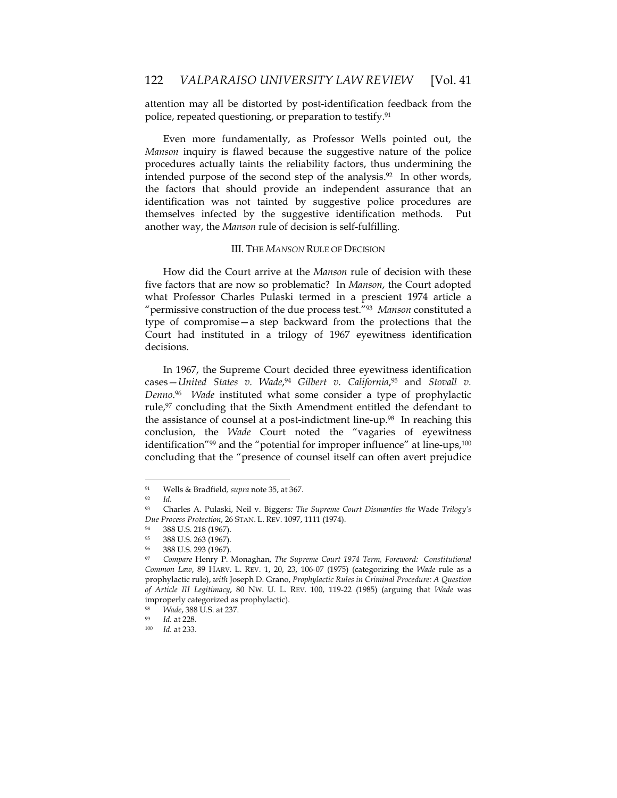attention may all be distorted by post-identification feedback from the police, repeated questioning, or preparation to testify.91

Even more fundamentally, as Professor Wells pointed out, the *Manson* inquiry is flawed because the suggestive nature of the police procedures actually taints the reliability factors, thus undermining the intended purpose of the second step of the analysis.<sup>92</sup> In other words, the factors that should provide an independent assurance that an identification was not tainted by suggestive police procedures are themselves infected by the suggestive identification methods. Put another way, the *Manson* rule of decision is self-fulfilling.

# III. THE *MANSON* RULE OF DECISION

How did the Court arrive at the *Manson* rule of decision with these five factors that are now so problematic? In *Manson*, the Court adopted what Professor Charles Pulaski termed in a prescient 1974 article a "permissive construction of the due process test."93 *Manson* constituted a type of compromise—a step backward from the protections that the Court had instituted in a trilogy of 1967 eyewitness identification decisions.

In 1967, the Supreme Court decided three eyewitness identification cases—*United States v. Wade*, <sup>94</sup> *Gilbert v. California*,95 and *Stovall v. Denno*. 96 *Wade* instituted what some consider a type of prophylactic rule,<sup>97</sup> concluding that the Sixth Amendment entitled the defendant to the assistance of counsel at a post-indictment line-up.<sup>98</sup> In reaching this conclusion, the *Wade* Court noted the "vagaries of eyewitness identification"<sup>99</sup> and the "potential for improper influence" at line-ups,<sup>100</sup> concluding that the "presence of counsel itself can often avert prejudice

<sup>91</sup> Wells & Bradfield*, supra* note 35, at 367. 92 *Id.*

<sup>93</sup> Charles A. Pulaski, Neil v. Biggers*: The Supreme Court Dismantles the* Wade *Trilogy's Due Process Protection, 26 STAN. L. REV. 1097, 1111 (1974).* 388 U.S. 218 (1967).

<sup>95 388</sup> U.S. 263 (1967).

 $^{96}$  388 U.S. 293 (1967).

<sup>97</sup> *Compare* Henry P. Monaghan, *The Supreme Court 1974 Term, Foreword: Constitutional Common Law*, 89 HARV. L. REV. 1, 20, 23, 106-07 (1975) (categorizing the *Wade* rule as a prophylactic rule), *with* Joseph D. Grano, *Prophylactic Rules in Criminal Procedure: A Question of Article III Legitimacy*, 80 NW. U. L. REV. 100, 119-22 (1985) (arguing that *Wade* was improperly categorized as prophylactic).

<sup>98</sup> *Wade*, 388 U.S. at 237.

<sup>99</sup> *Id.* at 228. 100 *Id.* at 233.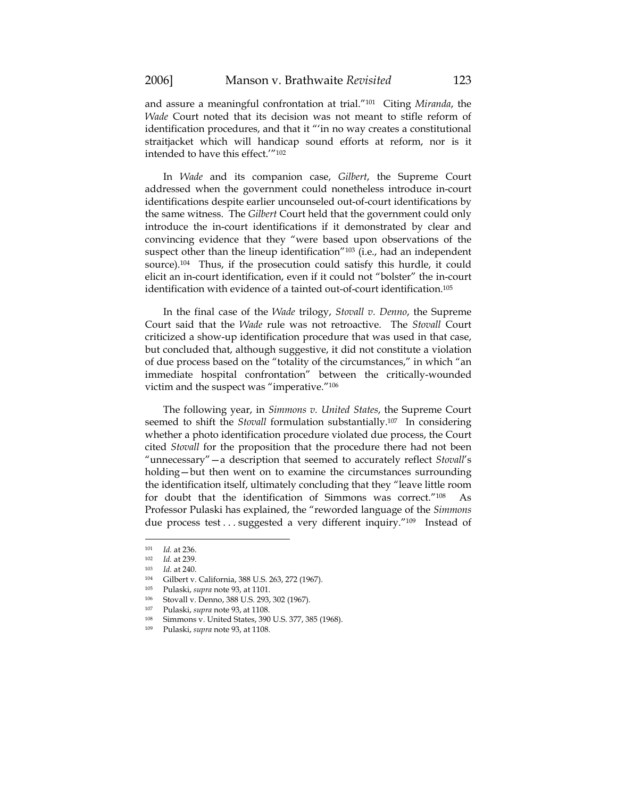and assure a meaningful confrontation at trial."101 Citing *Miranda*, the *Wade* Court noted that its decision was not meant to stifle reform of identification procedures, and that it "'in no way creates a constitutional straitjacket which will handicap sound efforts at reform, nor is it intended to have this effect.'"102

In *Wade* and its companion case, *Gilbert*, the Supreme Court addressed when the government could nonetheless introduce in-court identifications despite earlier uncounseled out-of-court identifications by the same witness. The *Gilbert* Court held that the government could only introduce the in-court identifications if it demonstrated by clear and convincing evidence that they "were based upon observations of the suspect other than the lineup identification"<sup>103</sup> (i.e., had an independent source).104 Thus, if the prosecution could satisfy this hurdle, it could elicit an in-court identification, even if it could not "bolster" the in-court identification with evidence of a tainted out-of-court identification.105

In the final case of the *Wade* trilogy, *Stovall v. Denno*, the Supreme Court said that the *Wade* rule was not retroactive. The *Stovall* Court criticized a show-up identification procedure that was used in that case, but concluded that, although suggestive, it did not constitute a violation of due process based on the "totality of the circumstances," in which "an immediate hospital confrontation" between the critically-wounded victim and the suspect was "imperative."106

The following year, in *Simmons v. United States*, the Supreme Court seemed to shift the *Stovall* formulation substantially.107 In considering whether a photo identification procedure violated due process, the Court cited *Stovall* for the proposition that the procedure there had not been "unnecessary"—a description that seemed to accurately reflect *Stovall*'s holding—but then went on to examine the circumstances surrounding the identification itself, ultimately concluding that they "leave little room for doubt that the identification of Simmons was correct."108 As Professor Pulaski has explained, the "reworded language of the *Simmons* due process test . . . suggested a very different inquiry."<sup>109</sup> Instead of

<sup>101</sup> *Id.* at 236. 102 *Id.* at 239. 103 *Id.* at 240.

<sup>104</sup> Gilbert v. California, 388 U.S. 263, 272 (1967).<br> $\frac{105}{105}$  Pulacki cunza poto 93, at 1101

<sup>&</sup>lt;sup>105</sup> Pulaski, *supra* note 93, at 1101.<br><sup>106</sup> Stovall v. Denno, 388 U.S. 293, 302 (1967).

<sup>107</sup> Pulaski, *supra* note 93, at 1108.

<sup>108</sup> Simmons v. United States, 390 U.S. 377, 385 (1968).

<sup>109</sup> Pulaski, *supra* note 93, at 1108.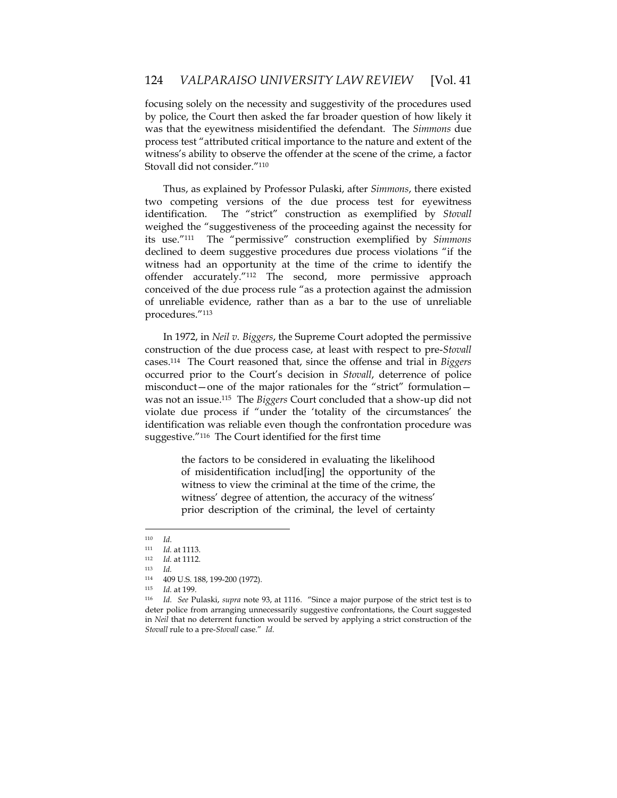focusing solely on the necessity and suggestivity of the procedures used by police, the Court then asked the far broader question of how likely it was that the eyewitness misidentified the defendant. The *Simmons* due process test "attributed critical importance to the nature and extent of the witness's ability to observe the offender at the scene of the crime, a factor Stovall did not consider."110

Thus, as explained by Professor Pulaski, after *Simmons*, there existed two competing versions of the due process test for eyewitness identification. The "strict" construction as exemplified by *Stovall* weighed the "suggestiveness of the proceeding against the necessity for its use."111 The "permissive" construction exemplified by *Simmons* declined to deem suggestive procedures due process violations "if the witness had an opportunity at the time of the crime to identify the offender accurately."112 The second, more permissive approach conceived of the due process rule "as a protection against the admission of unreliable evidence, rather than as a bar to the use of unreliable procedures."113

In 1972, in *Neil v. Biggers*, the Supreme Court adopted the permissive construction of the due process case, at least with respect to pre-*Stovall* cases.114 The Court reasoned that, since the offense and trial in *Biggers* occurred prior to the Court's decision in *Stovall*, deterrence of police misconduct—one of the major rationales for the "strict" formulation was not an issue.115 The *Biggers* Court concluded that a show-up did not violate due process if "under the 'totality of the circumstances' the identification was reliable even though the confrontation procedure was suggestive."116 The Court identified for the first time

> the factors to be considered in evaluating the likelihood of misidentification includ[ing] the opportunity of the witness to view the criminal at the time of the crime, the witness' degree of attention, the accuracy of the witness' prior description of the criminal, the level of certainty

<sup>110</sup> *Id*. 111 *Id.* at 1113. 112 *Id.* at 1112. 113 *Id.*

 $114$  409 U.S. 188, 199-200 (1972).

<sup>115</sup> *Id.* at 199. 116 *Id*. *See* Pulaski, *supra* note 93, at 1116. "Since a major purpose of the strict test is to deter police from arranging unnecessarily suggestive confrontations, the Court suggested in *Neil* that no deterrent function would be served by applying a strict construction of the *Stovall* rule to a pre-*Stovall* case." *Id.*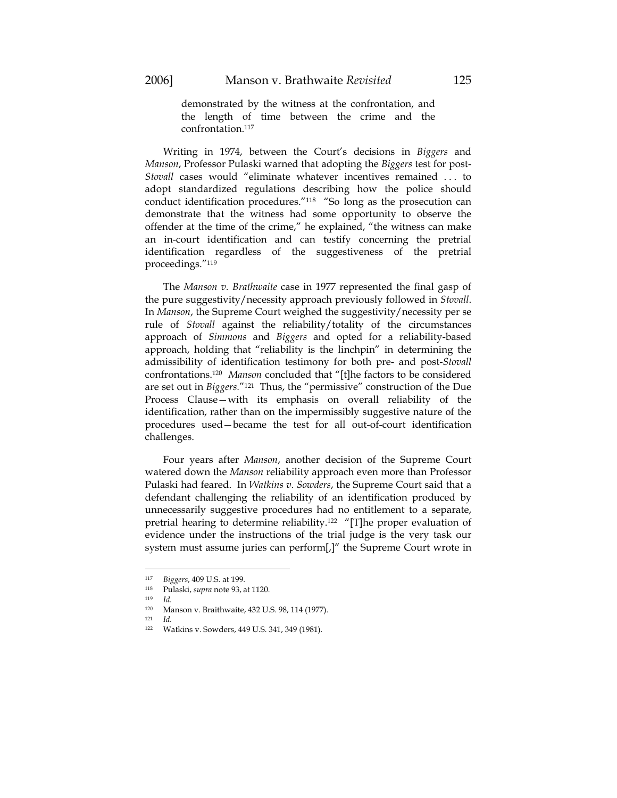demonstrated by the witness at the confrontation, and the length of time between the crime and the confrontation.117

Writing in 1974, between the Court's decisions in *Biggers* and *Manson*, Professor Pulaski warned that adopting the *Biggers* test for post-*Stovall* cases would "eliminate whatever incentives remained . . . to adopt standardized regulations describing how the police should conduct identification procedures."118 "So long as the prosecution can demonstrate that the witness had some opportunity to observe the offender at the time of the crime," he explained, "the witness can make an in-court identification and can testify concerning the pretrial identification regardless of the suggestiveness of the pretrial proceedings."119

The *Manson v. Brathwaite* case in 1977 represented the final gasp of the pure suggestivity/necessity approach previously followed in *Stovall*. In *Manson*, the Supreme Court weighed the suggestivity/necessity per se rule of *Stovall* against the reliability/totality of the circumstances approach of *Simmons* and *Biggers* and opted for a reliability-based approach, holding that "reliability is the linchpin" in determining the admissibility of identification testimony for both pre- and post-*Stovall* confrontations.120 *Manson* concluded that "[t]he factors to be considered are set out in *Biggers.*"121 Thus, the "permissive" construction of the Due Process Clause—with its emphasis on overall reliability of the identification, rather than on the impermissibly suggestive nature of the procedures used—became the test for all out-of-court identification challenges.

Four years after *Manson*, another decision of the Supreme Court watered down the *Manson* reliability approach even more than Professor Pulaski had feared. In *Watkins v. Sowders*, the Supreme Court said that a defendant challenging the reliability of an identification produced by unnecessarily suggestive procedures had no entitlement to a separate, pretrial hearing to determine reliability.122 "[T]he proper evaluation of evidence under the instructions of the trial judge is the very task our system must assume juries can perform[,]" the Supreme Court wrote in

<sup>117</sup> *Biggers*, 409 U.S. at 199.

<sup>118</sup> Pulaski, *supra* note 93, at 1120. 119 *Id.* 

<sup>120</sup> Manson v. Braithwaite, 432 U.S. 98, 114 (1977).

<sup>121</sup> *Id.*

Watkins v. Sowders, 449 U.S. 341, 349 (1981).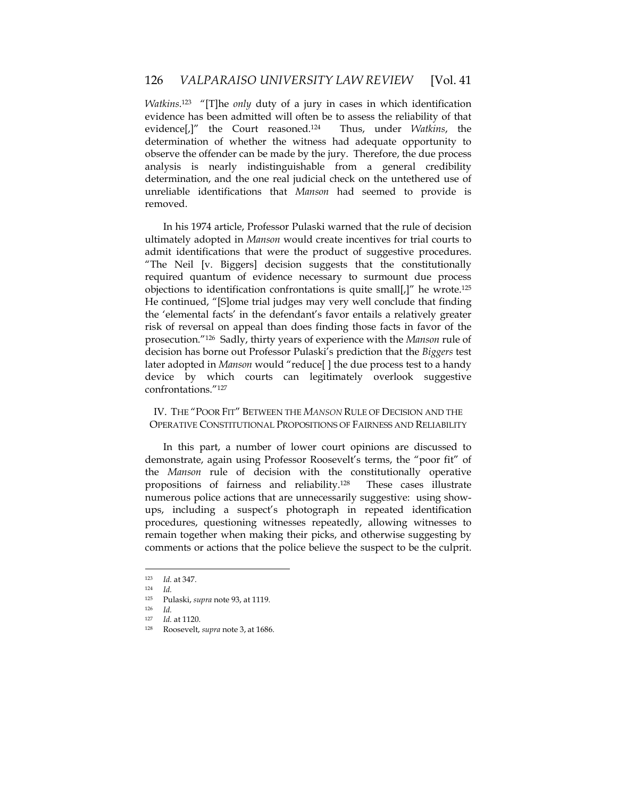*Watkins*. 123 "[T]he *only* duty of a jury in cases in which identification evidence has been admitted will often be to assess the reliability of that evidence[,]" the Court reasoned.124 Thus, under *Watkins*, the determination of whether the witness had adequate opportunity to observe the offender can be made by the jury. Therefore, the due process analysis is nearly indistinguishable from a general credibility determination, and the one real judicial check on the untethered use of unreliable identifications that *Manson* had seemed to provide is removed.

In his 1974 article, Professor Pulaski warned that the rule of decision ultimately adopted in *Manson* would create incentives for trial courts to admit identifications that were the product of suggestive procedures. "The Neil [v. Biggers] decision suggests that the constitutionally required quantum of evidence necessary to surmount due process objections to identification confrontations is quite small[ $\ell$ ]" he wrote.<sup>125</sup> He continued, "[S]ome trial judges may very well conclude that finding the 'elemental facts' in the defendant's favor entails a relatively greater risk of reversal on appeal than does finding those facts in favor of the prosecution."126 Sadly, thirty years of experience with the *Manson* rule of decision has borne out Professor Pulaski's prediction that the *Biggers* test later adopted in *Manson* would "reduce[ ] the due process test to a handy device by which courts can legitimately overlook suggestive confrontations."127

# IV. THE "POOR FIT" BETWEEN THE *MANSON* RULE OF DECISION AND THE OPERATIVE CONSTITUTIONAL PROPOSITIONS OF FAIRNESS AND RELIABILITY

In this part, a number of lower court opinions are discussed to demonstrate, again using Professor Roosevelt's terms, the "poor fit" of the *Manson* rule of decision with the constitutionally operative propositions of fairness and reliability.128 These cases illustrate numerous police actions that are unnecessarily suggestive: using showups, including a suspect's photograph in repeated identification procedures, questioning witnesses repeatedly, allowing witnesses to remain together when making their picks, and otherwise suggesting by comments or actions that the police believe the suspect to be the culprit.

<sup>123</sup> *Id.* at 347.

<sup>124</sup> *Id.* 

<sup>125</sup> Pulaski, *supra* note 93, at 1119. 126 *Id.*

<sup>127</sup> *Id.* at 1120. 128 Roosevelt, *supra* note 3, at 1686.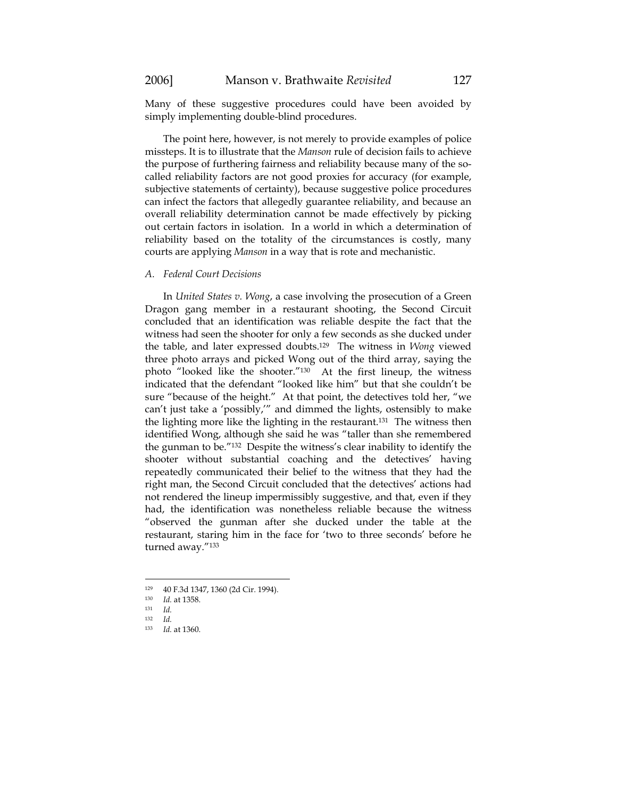Many of these suggestive procedures could have been avoided by simply implementing double-blind procedures.

The point here, however, is not merely to provide examples of police missteps. It is to illustrate that the *Manson* rule of decision fails to achieve the purpose of furthering fairness and reliability because many of the socalled reliability factors are not good proxies for accuracy (for example, subjective statements of certainty), because suggestive police procedures can infect the factors that allegedly guarantee reliability, and because an overall reliability determination cannot be made effectively by picking out certain factors in isolation. In a world in which a determination of reliability based on the totality of the circumstances is costly, many courts are applying *Manson* in a way that is rote and mechanistic.

# *A. Federal Court Decisions*

In *United States v. Wong*, a case involving the prosecution of a Green Dragon gang member in a restaurant shooting, the Second Circuit concluded that an identification was reliable despite the fact that the witness had seen the shooter for only a few seconds as she ducked under the table, and later expressed doubts.129 The witness in *Wong* viewed three photo arrays and picked Wong out of the third array, saying the photo "looked like the shooter."130 At the first lineup, the witness indicated that the defendant "looked like him" but that she couldn't be sure "because of the height." At that point, the detectives told her, "we can't just take a 'possibly,'" and dimmed the lights, ostensibly to make the lighting more like the lighting in the restaurant.131 The witness then identified Wong, although she said he was "taller than she remembered the gunman to be."132 Despite the witness's clear inability to identify the shooter without substantial coaching and the detectives' having repeatedly communicated their belief to the witness that they had the right man, the Second Circuit concluded that the detectives' actions had not rendered the lineup impermissibly suggestive, and that, even if they had, the identification was nonetheless reliable because the witness "observed the gunman after she ducked under the table at the restaurant, staring him in the face for 'two to three seconds' before he turned away."133

<sup>129 40</sup> F.3d 1347, 1360 (2d Cir. 1994).

<sup>130</sup> *Id.* at 1358. 131 *Id.*

<sup>132</sup> *Id.*

<sup>133</sup> *Id.* at 1360.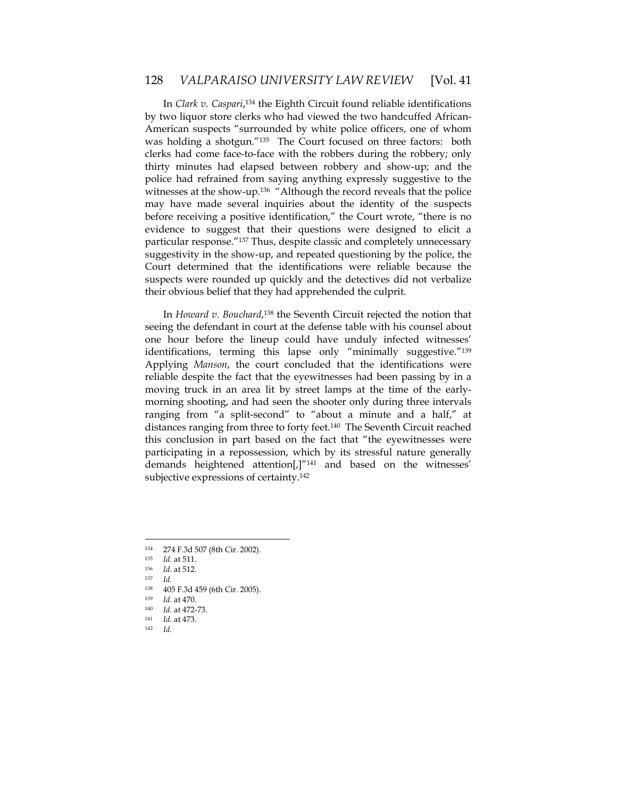In *Clark v. Caspari*, 134 the Eighth Circuit found reliable identifications by two liquor store clerks who had viewed the two handcuffed African-American suspects "surrounded by white police officers, one of whom was holding a shotgun."135 The Court focused on three factors: both clerks had come face-to-face with the robbers during the robbery; only thirty minutes had elapsed between robbery and show-up; and the police had refrained from saying anything expressly suggestive to the witnesses at the show-up.<sup>136</sup> "Although the record reveals that the police may have made several inquiries about the identity of the suspects before receiving a positive identification," the Court wrote, "there is no evidence to suggest that their questions were designed to elicit a particular response."137 Thus, despite classic and completely unnecessary suggestivity in the show-up, and repeated questioning by the police, the Court determined that the identifications were reliable because the suspects were rounded up quickly and the detectives did not verbalize their obvious belief that they had apprehended the culprit.

In *Howard v. Bouchard*, 138 the Seventh Circuit rejected the notion that seeing the defendant in court at the defense table with his counsel about one hour before the lineup could have unduly infected witnesses' identifications, terming this lapse only "minimally suggestive."139 Applying *Manson*, the court concluded that the identifications were reliable despite the fact that the eyewitnesses had been passing by in a moving truck in an area lit by street lamps at the time of the earlymorning shooting, and had seen the shooter only during three intervals ranging from "a split-second" to "about a minute and a half," at distances ranging from three to forty feet.140 The Seventh Circuit reached this conclusion in part based on the fact that "the eyewitnesses were participating in a repossession, which by its stressful nature generally demands heightened attention[,]"141 and based on the witnesses' subjective expressions of certainty.142

 $\overline{a}$ 

<sup>141</sup> *Id.* at 473. 142 *Id.*

<sup>&</sup>lt;sup>134</sup> 274 F.3d 507 (8th Cir. 2002).<br><sup>135</sup> *Id* at 511

<sup>135</sup> *Id.* at 511. 136 *Id.* at 512.

 $137$  *Id.*<br> $138$  *AO* 

<sup>138 405</sup> F.3d 459 (6th Cir. 2005).<br>
139 Id. at 470.

<sup>140</sup> *Id.* at 472-73.<br><sup>141</sup> *Id.* at 473.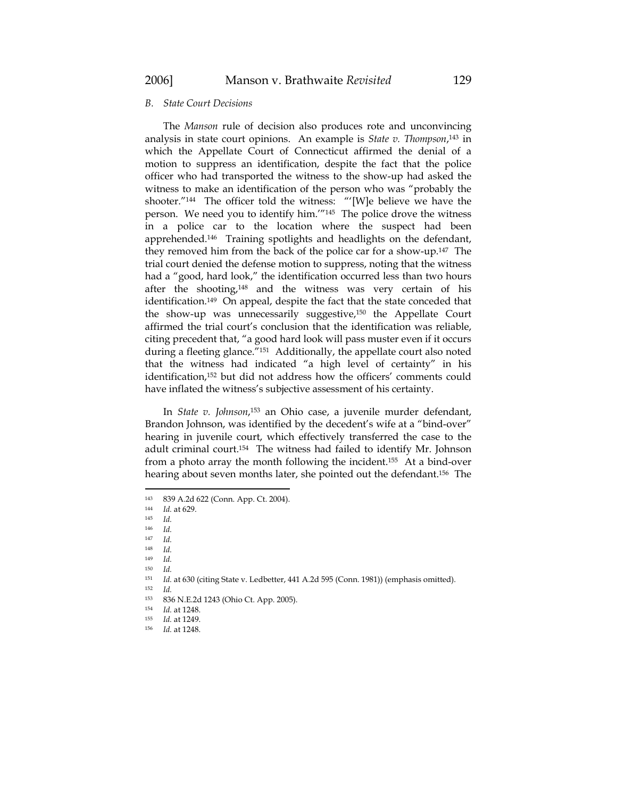# *B. State Court Decisions*

The *Manson* rule of decision also produces rote and unconvincing analysis in state court opinions. An example is *State v. Thompson*, 143 in which the Appellate Court of Connecticut affirmed the denial of a motion to suppress an identification, despite the fact that the police officer who had transported the witness to the show-up had asked the witness to make an identification of the person who was "probably the shooter."144 The officer told the witness: "'[W]e believe we have the person. We need you to identify him.'"145 The police drove the witness in a police car to the location where the suspect had been apprehended.146 Training spotlights and headlights on the defendant, they removed him from the back of the police car for a show-up.147 The trial court denied the defense motion to suppress, noting that the witness had a "good, hard look," the identification occurred less than two hours after the shooting,148 and the witness was very certain of his identification.149 On appeal, despite the fact that the state conceded that the show-up was unnecessarily suggestive,150 the Appellate Court affirmed the trial court's conclusion that the identification was reliable, citing precedent that, "a good hard look will pass muster even if it occurs during a fleeting glance."151 Additionally, the appellate court also noted that the witness had indicated "a high level of certainty" in his identification,152 but did not address how the officers' comments could have inflated the witness's subjective assessment of his certainty.

In *State v. Johnson*, 153 an Ohio case, a juvenile murder defendant, Brandon Johnson, was identified by the decedent's wife at a "bind-over" hearing in juvenile court, which effectively transferred the case to the adult criminal court.154 The witness had failed to identify Mr. Johnson from a photo array the month following the incident.155 At a bind-over hearing about seven months later, she pointed out the defendant.156 The

 $143$  839 A.2d 622 (Conn. App. Ct. 2004).

Id. at 629.

<sup>145</sup> *Id.*

<sup>146</sup> *Id.*

<sup>147</sup> *Id.* 

<sup>148</sup> *Id.*

<sup>149</sup> *Id.* <sup>150</sup> *Id.*

<sup>&</sup>lt;sup>151</sup> *Id.* at 630 (citing State v. Ledbetter, 441 A.2d 595 (Conn. 1981)) (emphasis omitted).

 $152$  *Id.*<br> $153$  **83** 

<sup>836</sup> N.E.2d 1243 (Ohio Ct. App. 2005).

<sup>154</sup> *Id.* at 1248.<br><sup>155</sup> *Id.* at 1249.

<sup>155</sup> *Id.* at 1249. 156 *Id.* at 1248.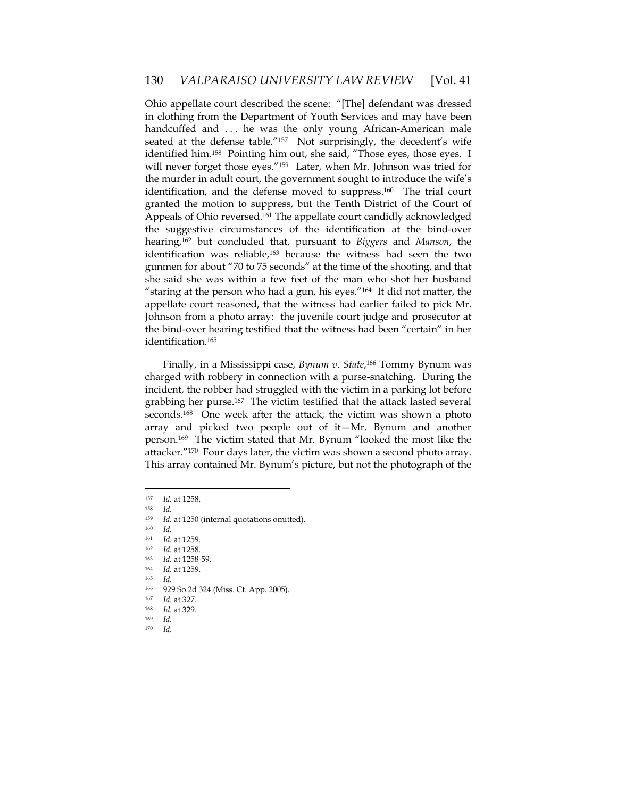Ohio appellate court described the scene: "[The] defendant was dressed in clothing from the Department of Youth Services and may have been handcuffed and ... he was the only young African-American male seated at the defense table."<sup>157</sup> Not surprisingly, the decedent's wife identified him.158 Pointing him out, she said, "Those eyes, those eyes. I will never forget those eyes."159 Later, when Mr. Johnson was tried for the murder in adult court, the government sought to introduce the wife's identification, and the defense moved to suppress.<sup>160</sup> The trial court granted the motion to suppress, but the Tenth District of the Court of Appeals of Ohio reversed.161 The appellate court candidly acknowledged the suggestive circumstances of the identification at the bind-over hearing,162 but concluded that, pursuant to *Biggers* and *Manson*, the identification was reliable,<sup>163</sup> because the witness had seen the two gunmen for about "70 to 75 seconds" at the time of the shooting, and that she said she was within a few feet of the man who shot her husband "staring at the person who had a gun, his eyes." $164$  It did not matter, the appellate court reasoned, that the witness had earlier failed to pick Mr. Johnson from a photo array: the juvenile court judge and prosecutor at the bind-over hearing testified that the witness had been "certain" in her identification.165

Finally, in a Mississippi case, *Bynum v. State*, 166 Tommy Bynum was charged with robbery in connection with a purse-snatching. During the incident, the robber had struggled with the victim in a parking lot before grabbing her purse.167 The victim testified that the attack lasted several seconds.<sup>168</sup> One week after the attack, the victim was shown a photo array and picked two people out of it—Mr. Bynum and another person.169 The victim stated that Mr. Bynum "looked the most like the attacker."170 Four days later, the victim was shown a second photo array. This array contained Mr. Bynum's picture, but not the photograph of the

- <sup>167</sup> *Id.* at 327. 168 *Id.* at 329.
- $169$  *Id.*<br> $170$  *Id*
- 170 *Id.*

<sup>157</sup> *Id.* at 1258. 158 *Id.* 

<sup>159</sup> *Id.* at 1250 (internal quotations omitted). 160 *Id.*

<sup>161</sup> *Id.* at 1259. 162 *Id.* at 1258. 163 *Id.* at 1258-59. 164 *Id.* at 1259.

<sup>165</sup> *Id.*

<sup>166 929</sup> So.2d 324 (Miss. Ct. App. 2005).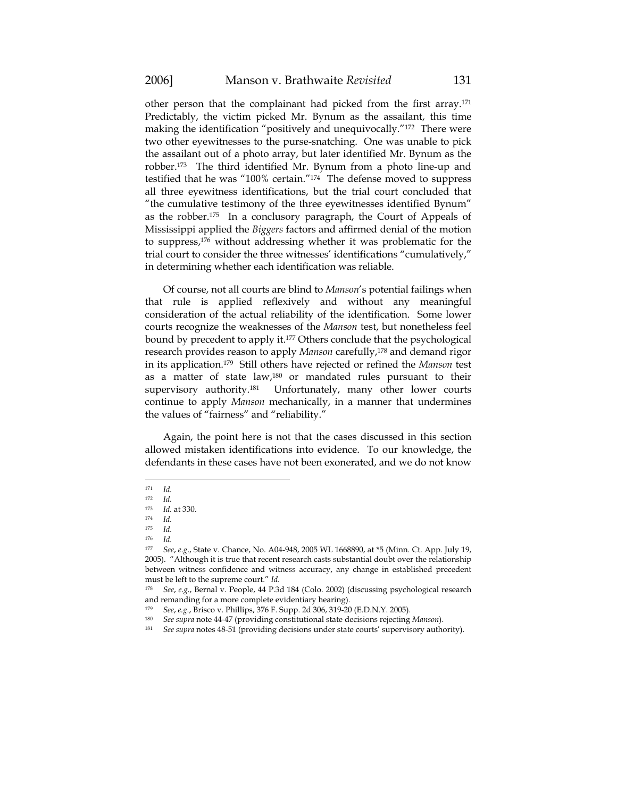other person that the complainant had picked from the first array.171 Predictably, the victim picked Mr. Bynum as the assailant, this time making the identification "positively and unequivocally."172 There were two other eyewitnesses to the purse-snatching. One was unable to pick the assailant out of a photo array, but later identified Mr. Bynum as the robber.173 The third identified Mr. Bynum from a photo line-up and testified that he was "100% certain."174 The defense moved to suppress all three eyewitness identifications, but the trial court concluded that "the cumulative testimony of the three eyewitnesses identified Bynum" as the robber.175 In a conclusory paragraph, the Court of Appeals of Mississippi applied the *Biggers* factors and affirmed denial of the motion to suppress,176 without addressing whether it was problematic for the trial court to consider the three witnesses' identifications "cumulatively," in determining whether each identification was reliable.

Of course, not all courts are blind to *Manson*'s potential failings when that rule is applied reflexively and without any meaningful consideration of the actual reliability of the identification. Some lower courts recognize the weaknesses of the *Manson* test, but nonetheless feel bound by precedent to apply it.177 Others conclude that the psychological research provides reason to apply *Manson* carefully,178 and demand rigor in its application.179 Still others have rejected or refined the *Manson* test as a matter of state law,180 or mandated rules pursuant to their supervisory authority.<sup>181</sup> Unfortunately, many other lower courts continue to apply *Manson* mechanically, in a manner that undermines the values of "fairness" and "reliability."

Again, the point here is not that the cases discussed in this section allowed mistaken identifications into evidence. To our knowledge, the defendants in these cases have not been exonerated, and we do not know

<sup>171</sup> *Id.* 

<sup>172</sup> *Id.*

*Id.* at 330.

<sup>174</sup> *Id.* 

<sup>175</sup> *Id.*

 $176$  *Id.*<br> $177$  *C*<sub>o</sub>

<sup>177</sup> *See*, *e.g*., State v. Chance, No. A04-948, 2005 WL 1668890, at \*5 (Minn. Ct. App. July 19, 2005). "Although it is true that recent research casts substantial doubt over the relationship between witness confidence and witness accuracy, any change in established precedent must be left to the supreme court." *Id.*

<sup>178</sup> *See*, *e.g.*, Bernal v. People, 44 P.3d 184 (Colo. 2002) (discussing psychological research and remanding for a more complete evidentiary hearing).

<sup>179</sup> *See*, *e.g.*, Brisco v. Phillips, 376 F. Supp. 2d 306, 319-20 (E.D.N.Y. 2005).

<sup>180</sup> *See supra* note 44-47 (providing constitutional state decisions rejecting *Manson*). 181 *See supra* notes 48-51 (providing decisions under state courts' supervisory authority).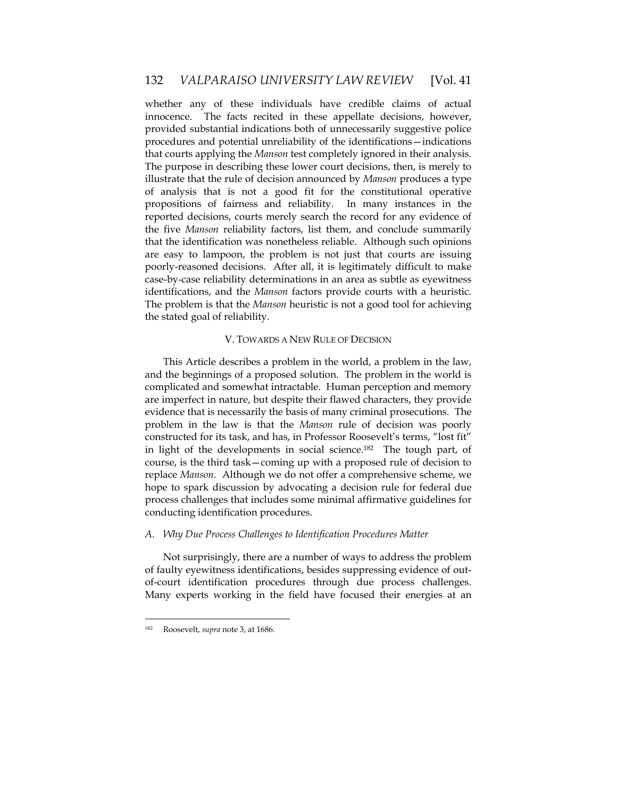whether any of these individuals have credible claims of actual innocence. The facts recited in these appellate decisions, however, provided substantial indications both of unnecessarily suggestive police procedures and potential unreliability of the identifications—indications that courts applying the *Manson* test completely ignored in their analysis. The purpose in describing these lower court decisions, then, is merely to illustrate that the rule of decision announced by *Manson* produces a type of analysis that is not a good fit for the constitutional operative propositions of fairness and reliability. In many instances in the reported decisions, courts merely search the record for any evidence of the five *Manson* reliability factors, list them, and conclude summarily that the identification was nonetheless reliable. Although such opinions are easy to lampoon, the problem is not just that courts are issuing poorly-reasoned decisions. After all, it is legitimately difficult to make case-by-case reliability determinations in an area as subtle as eyewitness identifications, and the *Manson* factors provide courts with a heuristic. The problem is that the *Manson* heuristic is not a good tool for achieving the stated goal of reliability.

# V. TOWARDS A NEW RULE OF DECISION

This Article describes a problem in the world, a problem in the law, and the beginnings of a proposed solution. The problem in the world is complicated and somewhat intractable. Human perception and memory are imperfect in nature, but despite their flawed characters, they provide evidence that is necessarily the basis of many criminal prosecutions. The problem in the law is that the *Manson* rule of decision was poorly constructed for its task, and has, in Professor Roosevelt's terms, "lost fit" in light of the developments in social science.182 The tough part, of course, is the third task—coming up with a proposed rule of decision to replace *Manson*. Although we do not offer a comprehensive scheme, we hope to spark discussion by advocating a decision rule for federal due process challenges that includes some minimal affirmative guidelines for conducting identification procedures.

### *A. Why Due Process Challenges to Identification Procedures Matter*

Not surprisingly, there are a number of ways to address the problem of faulty eyewitness identifications, besides suppressing evidence of outof-court identification procedures through due process challenges. Many experts working in the field have focused their energies at an

<sup>182</sup> Roosevelt, *supra* note 3, at 1686.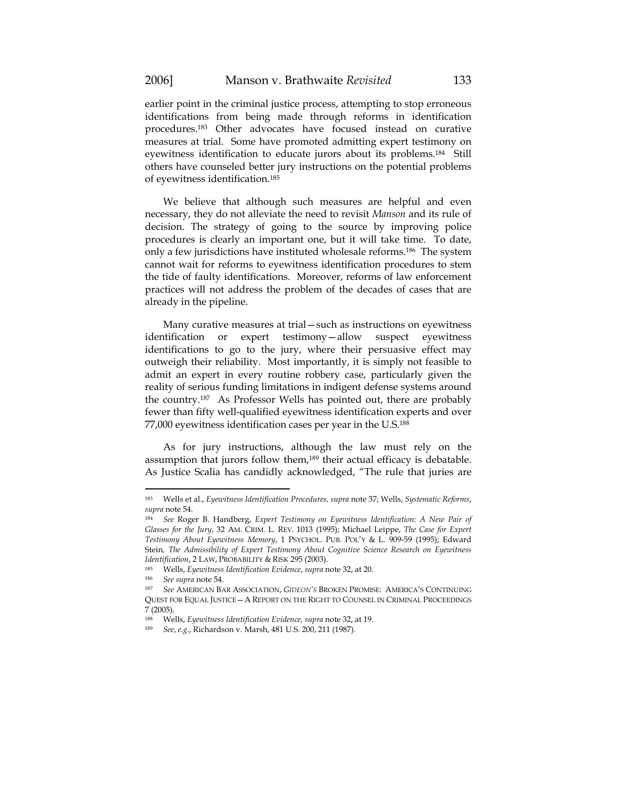earlier point in the criminal justice process, attempting to stop erroneous identifications from being made through reforms in identification procedures.183 Other advocates have focused instead on curative measures at trial. Some have promoted admitting expert testimony on eyewitness identification to educate jurors about its problems.184 Still others have counseled better jury instructions on the potential problems of eyewitness identification.185

We believe that although such measures are helpful and even necessary, they do not alleviate the need to revisit *Manson* and its rule of decision. The strategy of going to the source by improving police procedures is clearly an important one, but it will take time. To date, only a few jurisdictions have instituted wholesale reforms.186 The system cannot wait for reforms to eyewitness identification procedures to stem the tide of faulty identifications. Moreover, reforms of law enforcement practices will not address the problem of the decades of cases that are already in the pipeline.

Many curative measures at trial—such as instructions on eyewitness identification or expert testimony—allow suspect eyewitness identifications to go to the jury, where their persuasive effect may outweigh their reliability. Most importantly, it is simply not feasible to admit an expert in every routine robbery case, particularly given the reality of serious funding limitations in indigent defense systems around the country.187 As Professor Wells has pointed out, there are probably fewer than fifty well-qualified eyewitness identification experts and over 77,000 eyewitness identification cases per year in the U.S.188

As for jury instructions, although the law must rely on the assumption that jurors follow them,<sup>189</sup> their actual efficacy is debatable. As Justice Scalia has candidly acknowledged, "The rule that juries are

<sup>183</sup> Wells et al., *Eyewitness Identification Procedures, supra* note 37; Wells, *Systematic Reforms*, *supra* note 54.

<sup>184</sup> *See* Roger B. Handberg, *Expert Testimony on Eyewitness Identification: A New Pair of Glasses for the Jury*, 32 AM. CRIM. L. REV. 1013 (1995); Michael Leippe, *The Case for Expert Testimony About Eyewitness Memory*, 1 PSYCHOL. PUB. POL'Y & L. 909-59 (1995); Edward Stein*, The Admissibility of Expert Testimony About Cognitive Science Research on Eyewitness Identification*, 2 LAW, PROBABILITY & RISK 295 (2003). 185 Wells, *Eyewitness Identification Evidence*, *supra* note 32, at 20.

<sup>186</sup> *See supra* note 54.

<sup>187</sup> *See* AMERICAN BAR ASSOCIATION, *GIDEON'S* BROKEN PROMISE: AMERICA'S CONTINUING QUEST FOR EQUAL JUSTICE—A REPORT ON THE RIGHT TO COUNSEL IN CRIMINAL PROCEEDINGS 7 (2005).

<sup>188</sup> Wells, *Eyewitness Identification Evidence, supra* note 32, at 19. 189 *See*, *e.g.*, Richardson v. Marsh, 481 U.S. 200, 211 (1987).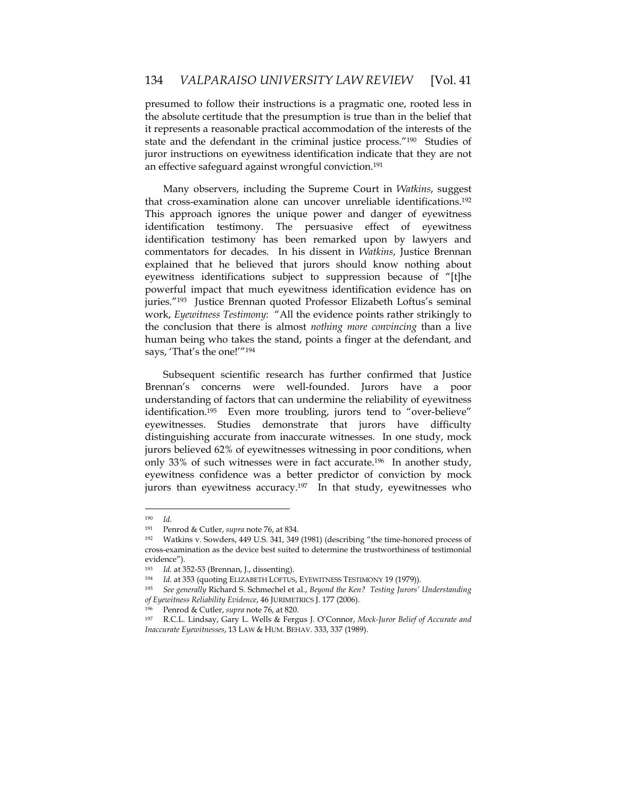presumed to follow their instructions is a pragmatic one, rooted less in the absolute certitude that the presumption is true than in the belief that it represents a reasonable practical accommodation of the interests of the state and the defendant in the criminal justice process."190 Studies of juror instructions on eyewitness identification indicate that they are not an effective safeguard against wrongful conviction.<sup>191</sup>

Many observers, including the Supreme Court in *Watkins*, suggest that cross-examination alone can uncover unreliable identifications.192 This approach ignores the unique power and danger of eyewitness identification testimony. The persuasive effect of eyewitness identification testimony has been remarked upon by lawyers and commentators for decades. In his dissent in *Watkins*, Justice Brennan explained that he believed that jurors should know nothing about eyewitness identifications subject to suppression because of "[t]he powerful impact that much eyewitness identification evidence has on juries."193 Justice Brennan quoted Professor Elizabeth Loftus's seminal work, *Eyewitness Testimony*: "All the evidence points rather strikingly to the conclusion that there is almost *nothing more convincing* than a live human being who takes the stand, points a finger at the defendant, and says, 'That's the one!'"<sup>194</sup>

Subsequent scientific research has further confirmed that Justice Brennan's concerns were well-founded. Jurors have a poor understanding of factors that can undermine the reliability of eyewitness identification.<sup>195</sup> Even more troubling, jurors tend to "over-believe" eyewitnesses. Studies demonstrate that jurors have difficulty distinguishing accurate from inaccurate witnesses. In one study, mock jurors believed 62% of eyewitnesses witnessing in poor conditions, when only 33% of such witnesses were in fact accurate.<sup>196</sup> In another study, eyewitness confidence was a better predictor of conviction by mock jurors than eyewitness accuracy.<sup>197</sup> In that study, eyewitnesses who

<sup>190</sup> *Id.*

<sup>191</sup> Penrod & Cutler, *supra* note 76, at 834.

<sup>192</sup> Watkins v. Sowders, 449 U.S. 341, 349 (1981) (describing "the time-honored process of cross-examination as the device best suited to determine the trustworthiness of testimonial evidence").

<sup>193</sup> *Id.* at 352-53 (Brennan, J., dissenting).

<sup>194</sup> *Id.* at 353 (quoting ELIZABETH LOFTUS, EYEWITNESS TESTIMONY 19 (1979)).

<sup>195</sup> *See generally* Richard S. Schmechel et al., *Beyond the Ken? Testing Jurors' Understanding of Eyewitness Reliability Evidence*, 46 JURIMETRICS J. 177 (2006). 196 Penrod & Cutler, *supra* note 76, at 820.

<sup>197</sup> R.C.L. Lindsay, Gary L. Wells & Fergus J. O'Connor, *Mock-Juror Belief of Accurate and Inaccurate Eyewitnesses*, 13 LAW & HUM. BEHAV. 333, 337 (1989).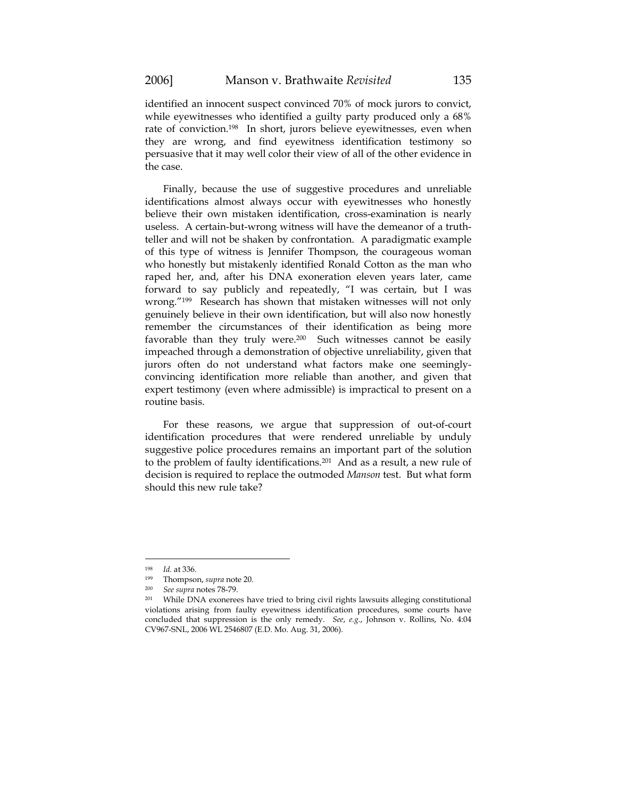identified an innocent suspect convinced 70% of mock jurors to convict, while eyewitnesses who identified a guilty party produced only a 68% rate of conviction.198 In short, jurors believe eyewitnesses, even when they are wrong, and find eyewitness identification testimony so persuasive that it may well color their view of all of the other evidence in the case.

Finally, because the use of suggestive procedures and unreliable identifications almost always occur with eyewitnesses who honestly believe their own mistaken identification, cross-examination is nearly useless. A certain-but-wrong witness will have the demeanor of a truthteller and will not be shaken by confrontation. A paradigmatic example of this type of witness is Jennifer Thompson, the courageous woman who honestly but mistakenly identified Ronald Cotton as the man who raped her, and, after his DNA exoneration eleven years later, came forward to say publicly and repeatedly, "I was certain, but I was wrong."199 Research has shown that mistaken witnesses will not only genuinely believe in their own identification, but will also now honestly remember the circumstances of their identification as being more favorable than they truly were.<sup>200</sup> Such witnesses cannot be easily impeached through a demonstration of objective unreliability, given that jurors often do not understand what factors make one seeminglyconvincing identification more reliable than another, and given that expert testimony (even where admissible) is impractical to present on a routine basis.

For these reasons, we argue that suppression of out-of-court identification procedures that were rendered unreliable by unduly suggestive police procedures remains an important part of the solution to the problem of faulty identifications.201 And as a result, a new rule of decision is required to replace the outmoded *Manson* test. But what form should this new rule take?

<sup>198</sup> *Id.* at 336.

<sup>199</sup> Thompson, *supra* note 20.

<sup>&</sup>lt;sup>200</sup> See supra notes 78-79.<br><sup>201</sup> While DNA exonerees have tried to bring civil rights lawsuits alleging constitutional violations arising from faulty eyewitness identification procedures, some courts have concluded that suppression is the only remedy. *See*, *e.g.*, Johnson v. Rollins, No. 4:04 CV967-SNL, 2006 WL 2546807 (E.D. Mo. Aug. 31, 2006).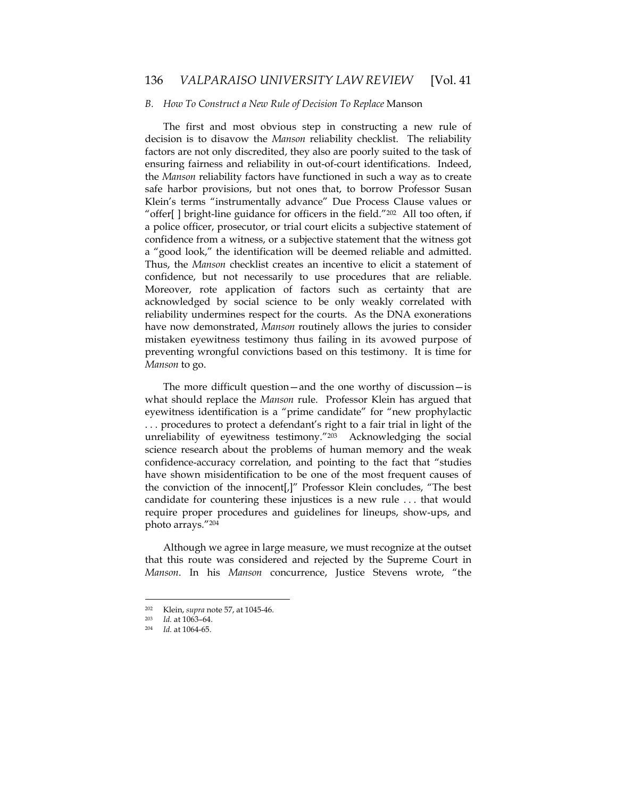### *B. How To Construct a New Rule of Decision To Replace* Manson

The first and most obvious step in constructing a new rule of decision is to disavow the *Manson* reliability checklist. The reliability factors are not only discredited, they also are poorly suited to the task of ensuring fairness and reliability in out-of-court identifications. Indeed, the *Manson* reliability factors have functioned in such a way as to create safe harbor provisions, but not ones that, to borrow Professor Susan Klein's terms "instrumentally advance" Due Process Clause values or "offer[ ] bright-line guidance for officers in the field."202 All too often, if a police officer, prosecutor, or trial court elicits a subjective statement of confidence from a witness, or a subjective statement that the witness got a "good look," the identification will be deemed reliable and admitted. Thus, the *Manson* checklist creates an incentive to elicit a statement of confidence, but not necessarily to use procedures that are reliable. Moreover, rote application of factors such as certainty that are acknowledged by social science to be only weakly correlated with reliability undermines respect for the courts. As the DNA exonerations have now demonstrated, *Manson* routinely allows the juries to consider mistaken eyewitness testimony thus failing in its avowed purpose of preventing wrongful convictions based on this testimony. It is time for *Manson* to go.

The more difficult question—and the one worthy of discussion—is what should replace the *Manson* rule. Professor Klein has argued that eyewitness identification is a "prime candidate" for "new prophylactic . . . procedures to protect a defendant's right to a fair trial in light of the unreliability of eyewitness testimony."203 Acknowledging the social science research about the problems of human memory and the weak confidence-accuracy correlation, and pointing to the fact that "studies have shown misidentification to be one of the most frequent causes of the conviction of the innocent[,]" Professor Klein concludes, "The best candidate for countering these injustices is a new rule . . . that would require proper procedures and guidelines for lineups, show-ups, and photo arrays."204

Although we agree in large measure, we must recognize at the outset that this route was considered and rejected by the Supreme Court in *Manson*. In his *Manson* concurrence, Justice Stevens wrote, "the

<sup>202</sup> Klein, *supra* note 57, at 1045-46.

<sup>203</sup> *Id.* at 1063–64. 204 *Id.* at 1064-65.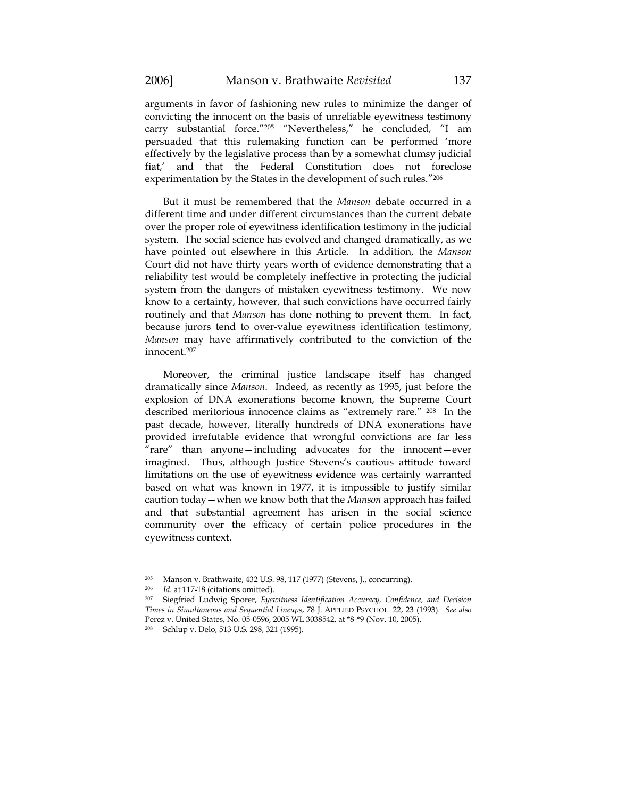arguments in favor of fashioning new rules to minimize the danger of convicting the innocent on the basis of unreliable eyewitness testimony carry substantial force."205 "Nevertheless," he concluded, "I am persuaded that this rulemaking function can be performed 'more effectively by the legislative process than by a somewhat clumsy judicial fiat,' and that the Federal Constitution does not foreclose experimentation by the States in the development of such rules."206

But it must be remembered that the *Manson* debate occurred in a different time and under different circumstances than the current debate over the proper role of eyewitness identification testimony in the judicial system. The social science has evolved and changed dramatically, as we have pointed out elsewhere in this Article. In addition, the *Manson* Court did not have thirty years worth of evidence demonstrating that a reliability test would be completely ineffective in protecting the judicial system from the dangers of mistaken eyewitness testimony. We now know to a certainty, however, that such convictions have occurred fairly routinely and that *Manson* has done nothing to prevent them. In fact, because jurors tend to over-value eyewitness identification testimony, *Manson* may have affirmatively contributed to the conviction of the innocent.207

Moreover, the criminal justice landscape itself has changed dramatically since *Manson*. Indeed, as recently as 1995, just before the explosion of DNA exonerations become known, the Supreme Court described meritorious innocence claims as "extremely rare." 208 In the past decade, however, literally hundreds of DNA exonerations have provided irrefutable evidence that wrongful convictions are far less "rare" than anyone—including advocates for the innocent—ever imagined. Thus, although Justice Stevens's cautious attitude toward limitations on the use of eyewitness evidence was certainly warranted based on what was known in 1977, it is impossible to justify similar caution today—when we know both that the *Manson* approach has failed and that substantial agreement has arisen in the social science community over the efficacy of certain police procedures in the eyewitness context.

<sup>205</sup> Manson v. Brathwaite, 432 U.S. 98, 117 (1977) (Stevens, J., concurring).<br>
206 Id. at 117.18 (citations emitted)

<sup>206</sup> *Id.* at 117-18 (citations omitted). 207 Siegfried Ludwig Sporer, *Eyewitness Identification Accuracy, Confidence, and Decision Times in Simultaneous and Sequential Lineups*, 78 J. APPLIED PSYCHOL. 22, 23 (1993). *See also* Perez v. United States, No. 05-0596, 2005 WL 3038542, at \*8-\*9 (Nov. 10, 2005).

<sup>208</sup> Schlup v. Delo, 513 U.S. 298, 321 (1995).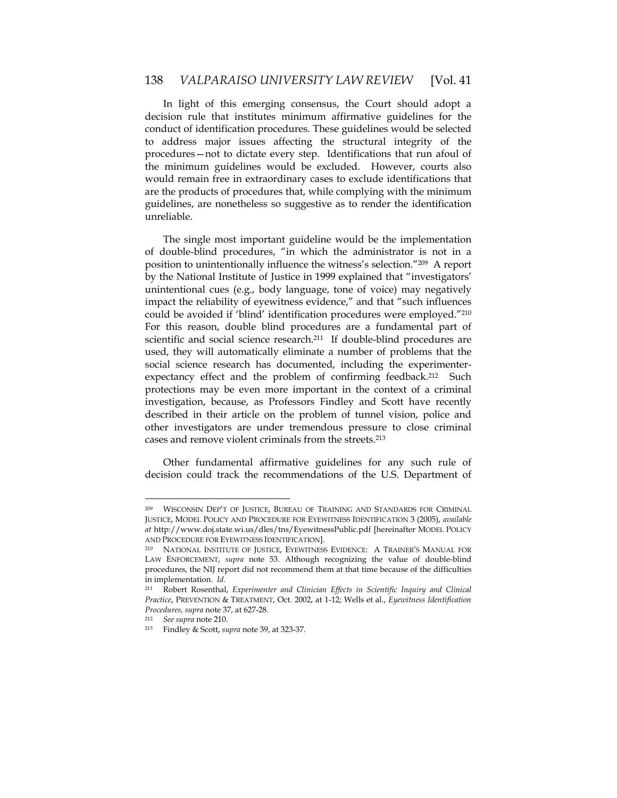In light of this emerging consensus, the Court should adopt a decision rule that institutes minimum affirmative guidelines for the conduct of identification procedures. These guidelines would be selected to address major issues affecting the structural integrity of the procedures—not to dictate every step. Identifications that run afoul of the minimum guidelines would be excluded. However, courts also would remain free in extraordinary cases to exclude identifications that are the products of procedures that, while complying with the minimum guidelines, are nonetheless so suggestive as to render the identification unreliable.

The single most important guideline would be the implementation of double-blind procedures, "in which the administrator is not in a position to unintentionally influence the witness's selection."209 A report by the National Institute of Justice in 1999 explained that "investigators' unintentional cues (e.g., body language, tone of voice) may negatively impact the reliability of eyewitness evidence," and that "such influences could be avoided if 'blind' identification procedures were employed."210 For this reason, double blind procedures are a fundamental part of scientific and social science research.<sup>211</sup> If double-blind procedures are used, they will automatically eliminate a number of problems that the social science research has documented, including the experimenterexpectancy effect and the problem of confirming feedback.<sup>212</sup> Such protections may be even more important in the context of a criminal investigation, because, as Professors Findley and Scott have recently described in their article on the problem of tunnel vision, police and other investigators are under tremendous pressure to close criminal cases and remove violent criminals from the streets.213

Other fundamental affirmative guidelines for any such rule of decision could track the recommendations of the U.S. Department of

<sup>209</sup> WISCONSIN DEP'T OF JUSTICE, BUREAU OF TRAINING AND STANDARDS FOR CRIMINAL JUSTICE, MODEL POLICY AND PROCEDURE FOR EYEWITNESS IDENTIFICATION 3 (2005), *available at* http://www.doj.state.wi.us/dles/tns/EyewitnessPublic.pdf [hereinafter MODEL POLICY AND PROCEDURE FOR EYEWITNESS IDENTIFICATION].<br><sup>210</sup> NATIONAL INSTITUTE OF JUSTICE, EYEWITNESS EVIDENCE: A TRAINER'S MANUAL FOR

LAW ENFORCEMENT, *supra* note 53. Although recognizing the value of double-blind procedures, the NIJ report did not recommend them at that time because of the difficulties in implementation. *Id.*

<sup>211</sup> Robert Rosenthal, *Experimenter and Clinician Effects in Scientific Inquiry and Clinical Practice*, PREVENTION & TREATMENT, Oct. 2002, at 1-12; Wells et al*.*, *Eyewitness Identification Procedures, supra* note 37, at 627-28.

<sup>212</sup> *See supra* note 210. 213 Findley & Scott, *supra* note 39, at 323-37*.*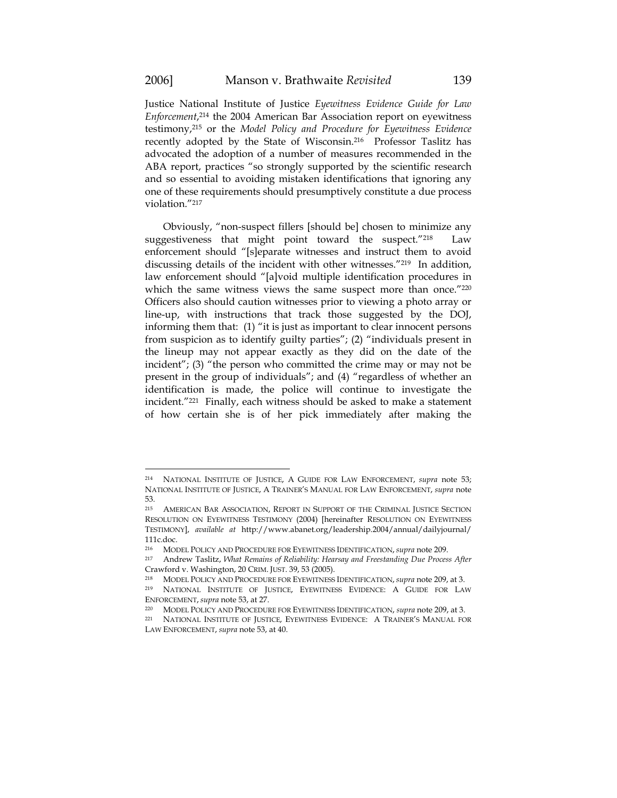$\overline{a}$ 

Justice National Institute of Justice *Eyewitness Evidence Guide for Law Enforcement*, 214 the 2004 American Bar Association report on eyewitness testimony,215 or the *Model Policy and Procedure for Eyewitness Evidence* recently adopted by the State of Wisconsin.216 Professor Taslitz has advocated the adoption of a number of measures recommended in the ABA report, practices "so strongly supported by the scientific research and so essential to avoiding mistaken identifications that ignoring any one of these requirements should presumptively constitute a due process violation."217

Obviously, "non-suspect fillers [should be] chosen to minimize any suggestiveness that might point toward the suspect."218 Law enforcement should "[s]eparate witnesses and instruct them to avoid discussing details of the incident with other witnesses."219 In addition, law enforcement should "[a]void multiple identification procedures in which the same witness views the same suspect more than once."220 Officers also should caution witnesses prior to viewing a photo array or line-up, with instructions that track those suggested by the DOJ, informing them that: (1) "it is just as important to clear innocent persons from suspicion as to identify guilty parties"; (2) "individuals present in the lineup may not appear exactly as they did on the date of the incident"; (3) "the person who committed the crime may or may not be present in the group of individuals"; and (4) "regardless of whether an identification is made, the police will continue to investigate the incident."221 Finally, each witness should be asked to make a statement of how certain she is of her pick immediately after making the

<sup>214</sup> NATIONAL INSTITUTE OF JUSTICE, A GUIDE FOR LAW ENFORCEMENT, *supra* note 53; NATIONAL INSTITUTE OF JUSTICE, A TRAINER'S MANUAL FOR LAW ENFORCEMENT, *supra* note 53.

<sup>215</sup> AMERICAN BAR ASSOCIATION, REPORT IN SUPPORT OF THE CRIMINAL JUSTICE SECTION RESOLUTION ON EYEWITNESS TESTIMONY (2004) [hereinafter RESOLUTION ON EYEWITNESS TESTIMONY], *available at* http://www.abanet.org/leadership.2004/annual/dailyjournal/ 111c.doc.<br><sup>216</sup> MOI

<sup>216</sup> MODEL POLICY AND PROCEDURE FOR EYEWITNESS IDENTIFICATION, *supra* note 209. 217 Andrew Taslitz, *What Remains of Reliability: Hearsay and Freestanding Due Process After*  Crawford v. Washington, 20 CRIM. JUST. 39, 53 (2005).

<sup>218</sup> MODEL POLICY AND PROCEDURE FOR EYEWITNESS IDENTIFICATION, *supra* note 209, at 3.

<sup>219</sup> NATIONAL INSTITUTE OF JUSTICE, EYEWITNESS EVIDENCE: A GUIDE FOR LAW ENFORCEMENT, *supra* note 53, at 27. 220 MODEL POLICY AND PROCEDURE FOR EYEWITNESS IDENTIFICATION, *supra* note 209, at 3.

<sup>221</sup> NATIONAL INSTITUTE OF JUSTICE, EYEWITNESS EVIDENCE: A TRAINER'S MANUAL FOR LAW ENFORCEMENT, *supra* note 53, at 40.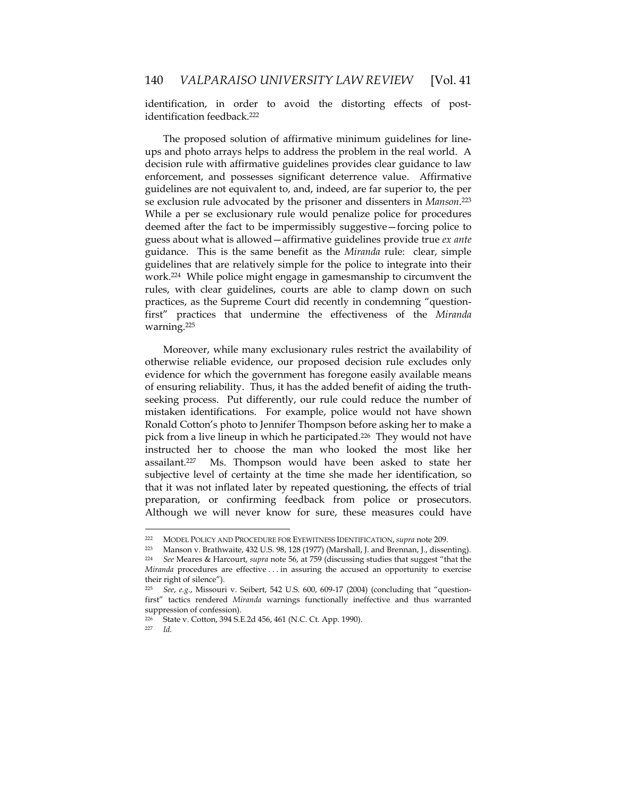identification, in order to avoid the distorting effects of postidentification feedback.<sup>222</sup>

The proposed solution of affirmative minimum guidelines for lineups and photo arrays helps to address the problem in the real world. A decision rule with affirmative guidelines provides clear guidance to law enforcement, and possesses significant deterrence value. Affirmative guidelines are not equivalent to, and, indeed, are far superior to, the per se exclusion rule advocated by the prisoner and dissenters in *Manson*.223 While a per se exclusionary rule would penalize police for procedures deemed after the fact to be impermissibly suggestive—forcing police to guess about what is allowed—affirmative guidelines provide true *ex ante*  guidance. This is the same benefit as the *Miranda* rule: clear, simple guidelines that are relatively simple for the police to integrate into their work.224 While police might engage in gamesmanship to circumvent the rules, with clear guidelines, courts are able to clamp down on such practices, as the Supreme Court did recently in condemning "questionfirst" practices that undermine the effectiveness of the *Miranda* warning.225

Moreover, while many exclusionary rules restrict the availability of otherwise reliable evidence, our proposed decision rule excludes only evidence for which the government has foregone easily available means of ensuring reliability. Thus, it has the added benefit of aiding the truthseeking process. Put differently, our rule could reduce the number of mistaken identifications. For example, police would not have shown Ronald Cotton's photo to Jennifer Thompson before asking her to make a pick from a live lineup in which he participated.<sup>226</sup> They would not have instructed her to choose the man who looked the most like her assailant.227 Ms. Thompson would have been asked to state her subjective level of certainty at the time she made her identification, so that it was not inflated later by repeated questioning, the effects of trial preparation, or confirming feedback from police or prosecutors. Although we will never know for sure, these measures could have

<sup>222</sup> MODEL POLICY AND PROCEDURE FOR EYEWITNESS IDENTIFICATION, *supra* note 209.<br>223 Manson v. Brathwaite, 432 U.S. 98, 128 (1977) (Marshall, J. and Brennan, J., dissenting).<br>224 See Meares & Harcourt, *supra* note 56, at 7

<sup>224</sup> *See* Meares & Harcourt, *supra* note 56, at 759 (discussing studies that suggest "that the *Miranda* procedures are effective ... in assuring the accused an opportunity to exercise their right of silence").

<sup>225</sup> *See*, *e.g.*, Missouri v. Seibert, 542 U.S. 600, 609-17 (2004) (concluding that "questionfirst" tactics rendered *Miranda* warnings functionally ineffective and thus warranted suppression of confession).

<sup>226</sup> State v. Cotton, 394 S.E.2d 456, 461 (N.C. Ct. App. 1990).

<sup>227</sup> *Id.*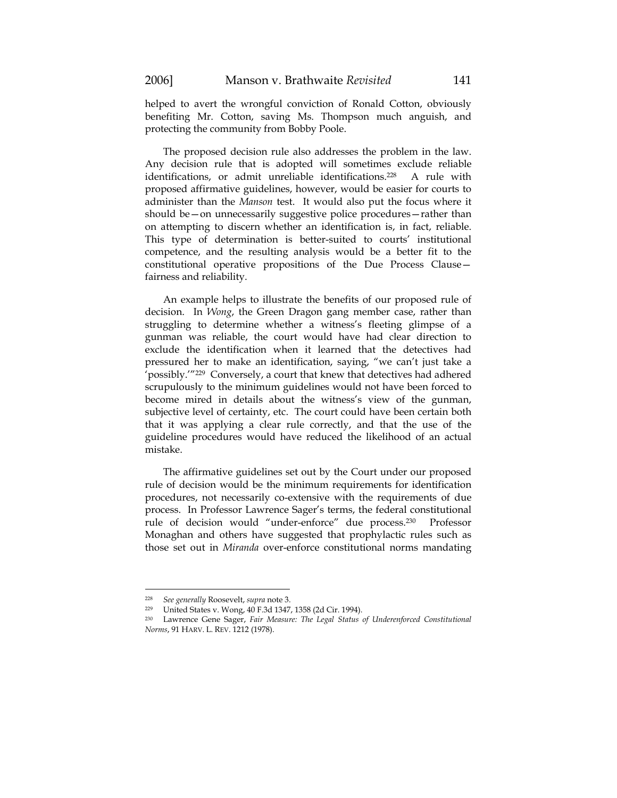helped to avert the wrongful conviction of Ronald Cotton, obviously benefiting Mr. Cotton, saving Ms. Thompson much anguish, and

protecting the community from Bobby Poole. The proposed decision rule also addresses the problem in the law. Any decision rule that is adopted will sometimes exclude reliable identifications, or admit unreliable identifications.228 A rule with proposed affirmative guidelines, however, would be easier for courts to

administer than the *Manson* test. It would also put the focus where it should be—on unnecessarily suggestive police procedures—rather than on attempting to discern whether an identification is, in fact, reliable. This type of determination is better-suited to courts' institutional competence, and the resulting analysis would be a better fit to the constitutional operative propositions of the Due Process Clause fairness and reliability.

An example helps to illustrate the benefits of our proposed rule of decision. In *Wong*, the Green Dragon gang member case, rather than struggling to determine whether a witness's fleeting glimpse of a gunman was reliable, the court would have had clear direction to exclude the identification when it learned that the detectives had pressured her to make an identification, saying, "we can't just take a 'possibly.'"229 Conversely, a court that knew that detectives had adhered scrupulously to the minimum guidelines would not have been forced to become mired in details about the witness's view of the gunman, subjective level of certainty, etc. The court could have been certain both that it was applying a clear rule correctly, and that the use of the guideline procedures would have reduced the likelihood of an actual mistake.

The affirmative guidelines set out by the Court under our proposed rule of decision would be the minimum requirements for identification procedures, not necessarily co-extensive with the requirements of due process. In Professor Lawrence Sager's terms, the federal constitutional rule of decision would "under-enforce" due process.230 Professor Monaghan and others have suggested that prophylactic rules such as those set out in *Miranda* over-enforce constitutional norms mandating

<sup>228</sup> *See generally* Roosevelt, *supra* note 3. 229 United States v. Wong, 40 F.3d 1347, 1358 (2d Cir. 1994).

<sup>230</sup> Lawrence Gene Sager, *Fair Measure: The Legal Status of Underenforced Constitutional Norms*, 91 HARV. L. REV. 1212 (1978).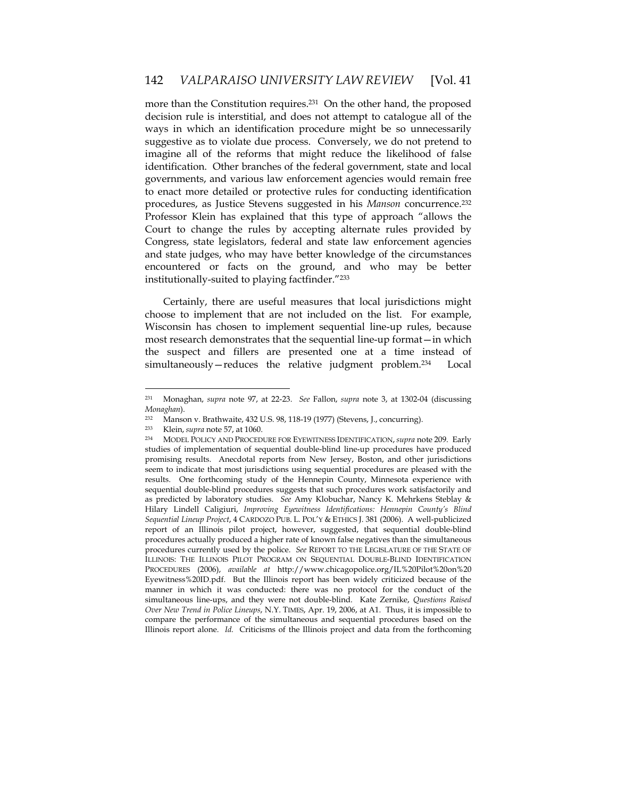more than the Constitution requires.<sup>231</sup> On the other hand, the proposed decision rule is interstitial, and does not attempt to catalogue all of the ways in which an identification procedure might be so unnecessarily suggestive as to violate due process. Conversely, we do not pretend to imagine all of the reforms that might reduce the likelihood of false identification. Other branches of the federal government, state and local governments, and various law enforcement agencies would remain free to enact more detailed or protective rules for conducting identification procedures, as Justice Stevens suggested in his *Manson* concurrence.232 Professor Klein has explained that this type of approach "allows the Court to change the rules by accepting alternate rules provided by Congress, state legislators, federal and state law enforcement agencies and state judges, who may have better knowledge of the circumstances encountered or facts on the ground, and who may be better institutionally-suited to playing factfinder."233

Certainly, there are useful measures that local jurisdictions might choose to implement that are not included on the list. For example, Wisconsin has chosen to implement sequential line-up rules, because most research demonstrates that the sequential line-up format—in which the suspect and fillers are presented one at a time instead of simultaneously—reduces the relative judgment problem.234 Local

<sup>231</sup> Monaghan, *supra* note 97, at 22-23. *See* Fallon, *supra* note 3, at 1302-04 (discussing *Monaghan*).

<sup>232</sup> Manson v. Brathwaite, 432 U.S. 98, 118-19 (1977) (Stevens, J., concurring).<br>  $\frac{233}{100}$  Klein sunta pote 57 at 1060

<sup>233</sup> Klein, *supra* note 57, at 1060. 234 MODEL POLICY AND PROCEDURE FOR EYEWITNESS IDENTIFICATION, *supra* note 209. Early studies of implementation of sequential double-blind line-up procedures have produced promising results. Anecdotal reports from New Jersey, Boston, and other jurisdictions seem to indicate that most jurisdictions using sequential procedures are pleased with the results. One forthcoming study of the Hennepin County, Minnesota experience with sequential double-blind procedures suggests that such procedures work satisfactorily and as predicted by laboratory studies. *See* Amy Klobuchar, Nancy K. Mehrkens Steblay & Hilary Lindell Caligiuri, *Improving Eyewitness Identifications: Hennepin County's Blind Sequential Lineup Project*, 4 CARDOZO PUB. L. POL'Y & ETHICS J. 381 (2006). A well-publicized report of an Illinois pilot project, however, suggested, that sequential double-blind procedures actually produced a higher rate of known false negatives than the simultaneous procedures currently used by the police. *See* REPORT TO THE LEGISLATURE OF THE STATE OF ILLINOIS: THE ILLINOIS PILOT PROGRAM ON SEQUENTIAL DOUBLE-BLIND IDENTIFICATION PROCEDURES (2006), *available at* http://www.chicagopolice.org/IL%20Pilot%20on%20 Eyewitness%20ID.pdf. But the Illinois report has been widely criticized because of the manner in which it was conducted: there was no protocol for the conduct of the simultaneous line-ups, and they were not double-blind. Kate Zernike, *Questions Raised Over New Trend in Police Lineups*, N.Y. TIMES, Apr. 19, 2006, at A1. Thus, it is impossible to compare the performance of the simultaneous and sequential procedures based on the Illinois report alone. *Id.* Criticisms of the Illinois project and data from the forthcoming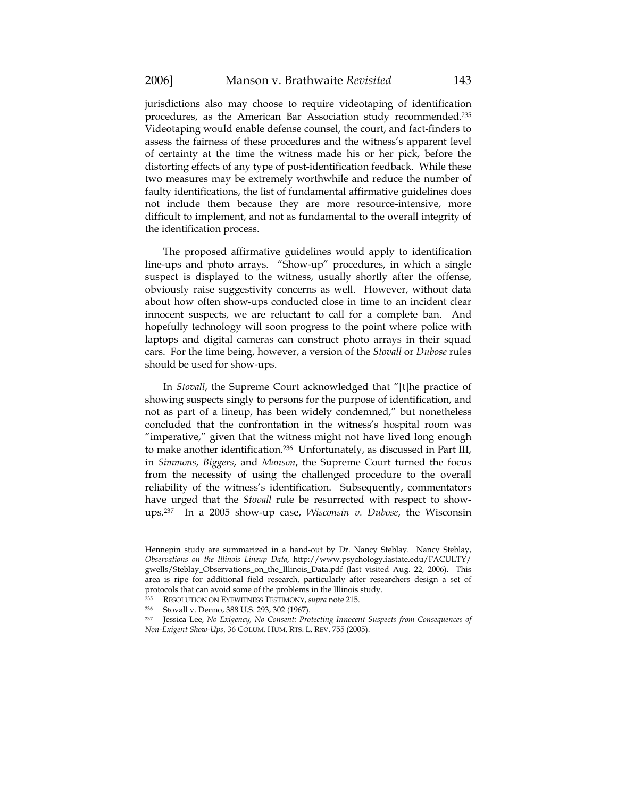jurisdictions also may choose to require videotaping of identification procedures, as the American Bar Association study recommended.235 Videotaping would enable defense counsel, the court, and fact-finders to assess the fairness of these procedures and the witness's apparent level of certainty at the time the witness made his or her pick, before the distorting effects of any type of post-identification feedback. While these two measures may be extremely worthwhile and reduce the number of faulty identifications, the list of fundamental affirmative guidelines does not include them because they are more resource-intensive, more difficult to implement, and not as fundamental to the overall integrity of the identification process.

The proposed affirmative guidelines would apply to identification line-ups and photo arrays. "Show-up" procedures, in which a single suspect is displayed to the witness, usually shortly after the offense, obviously raise suggestivity concerns as well. However, without data about how often show-ups conducted close in time to an incident clear innocent suspects, we are reluctant to call for a complete ban. And hopefully technology will soon progress to the point where police with laptops and digital cameras can construct photo arrays in their squad cars. For the time being, however, a version of the *Stovall* or *Dubose* rules should be used for show-ups.

In *Stovall*, the Supreme Court acknowledged that "[t]he practice of showing suspects singly to persons for the purpose of identification, and not as part of a lineup, has been widely condemned," but nonetheless concluded that the confrontation in the witness's hospital room was "imperative," given that the witness might not have lived long enough to make another identification.236 Unfortunately, as discussed in Part III, in *Simmons*, *Biggers*, and *Manson*, the Supreme Court turned the focus from the necessity of using the challenged procedure to the overall reliability of the witness's identification. Subsequently, commentators have urged that the *Stovall* rule be resurrected with respect to showups.237 In a 2005 show-up case, *Wisconsin v. Dubose*, the Wisconsin

Hennepin study are summarized in a hand-out by Dr. Nancy Steblay. Nancy Steblay, *Observations on the Illinois Lineup Data*, http://www.psychology.iastate.edu/FACULTY/ gwells/Steblay\_Observations\_on\_the\_Illinois\_Data.pdf (last visited Aug. 22, 2006). This area is ripe for additional field research, particularly after researchers design a set of protocols that can avoid some of the problems in the Illinois study.

<sup>235</sup> RESOLUTION ON EYEWITNESS TESTIMONY, *supra* note 215. 236 Stovall v. Denno, 388 U.S. 293, 302 (1967).

<sup>237</sup> Jessica Lee, *No Exigency, No Consent: Protecting Innocent Suspects from Consequences of Non-Exigent Show-Ups*, 36 COLUM. HUM. RTS. L. REV. 755 (2005).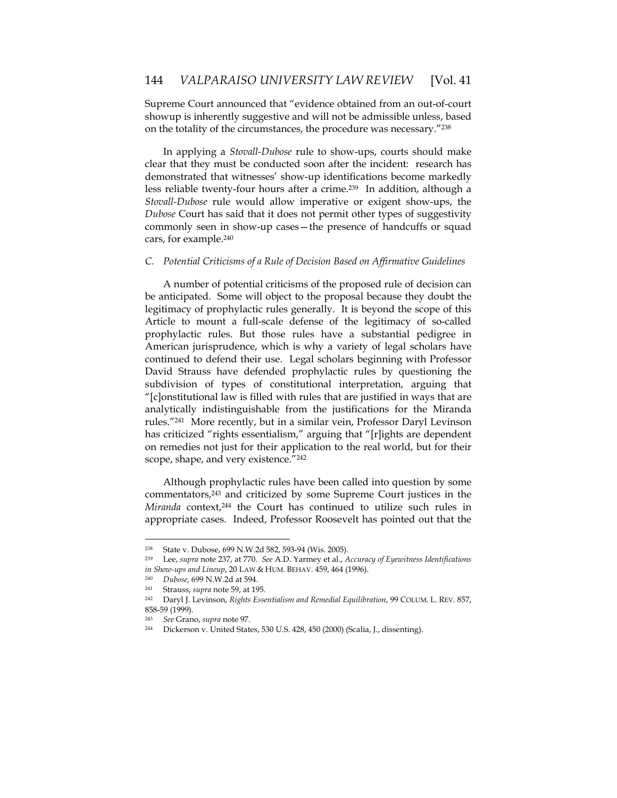Supreme Court announced that "evidence obtained from an out-of-court showup is inherently suggestive and will not be admissible unless, based on the totality of the circumstances, the procedure was necessary."238

In applying a *Stovall-Dubose* rule to show-ups, courts should make clear that they must be conducted soon after the incident: research has demonstrated that witnesses' show-up identifications become markedly less reliable twenty-four hours after a crime.239 In addition, although a *Stovall-Dubose* rule would allow imperative or exigent show-ups, the *Dubose* Court has said that it does not permit other types of suggestivity commonly seen in show-up cases—the presence of handcuffs or squad cars, for example.240

# *C. Potential Criticisms of a Rule of Decision Based on Affirmative Guidelines*

A number of potential criticisms of the proposed rule of decision can be anticipated. Some will object to the proposal because they doubt the legitimacy of prophylactic rules generally. It is beyond the scope of this Article to mount a full-scale defense of the legitimacy of so-called prophylactic rules. But those rules have a substantial pedigree in American jurisprudence, which is why a variety of legal scholars have continued to defend their use. Legal scholars beginning with Professor David Strauss have defended prophylactic rules by questioning the subdivision of types of constitutional interpretation, arguing that "[c]onstitutional law is filled with rules that are justified in ways that are analytically indistinguishable from the justifications for the Miranda rules."241 More recently, but in a similar vein, Professor Daryl Levinson has criticized "rights essentialism," arguing that "[r]ights are dependent on remedies not just for their application to the real world, but for their scope, shape, and very existence."242

Although prophylactic rules have been called into question by some commentators,243 and criticized by some Supreme Court justices in the *Miranda* context,244 the Court has continued to utilize such rules in appropriate cases. Indeed, Professor Roosevelt has pointed out that the

<sup>238</sup> State v. Dubose, 699 N.W.2d 582, 593-94 (Wis. 2005).<br>  $239$  Lee sunta pote 237 at 770, See A D. Yarmey et al.

<sup>239</sup> Lee, *supra* note 237, at 770. *See* A.D. Yarmey et al., *Accuracy of Eyewitness Identifications in Show-ups and Lineup*, 20 LAW & HUM. BEHAV. 459, 464 (1996).

<sup>240</sup> *Dubose*, 699 N.W.2d at 594.

<sup>241</sup> Strauss, *supra* note 59, at 195. 242 Daryl J. Levinson, *Rights Essentialism and Remedial Equilibration*, 99 COLUM. L. REV. 857, 858-59 (1999).

<sup>243</sup> *See* Grano, *supra* note 97. 244 Dickerson v. United States, 530 U.S. 428, 450 (2000) (Scalia, J., dissenting).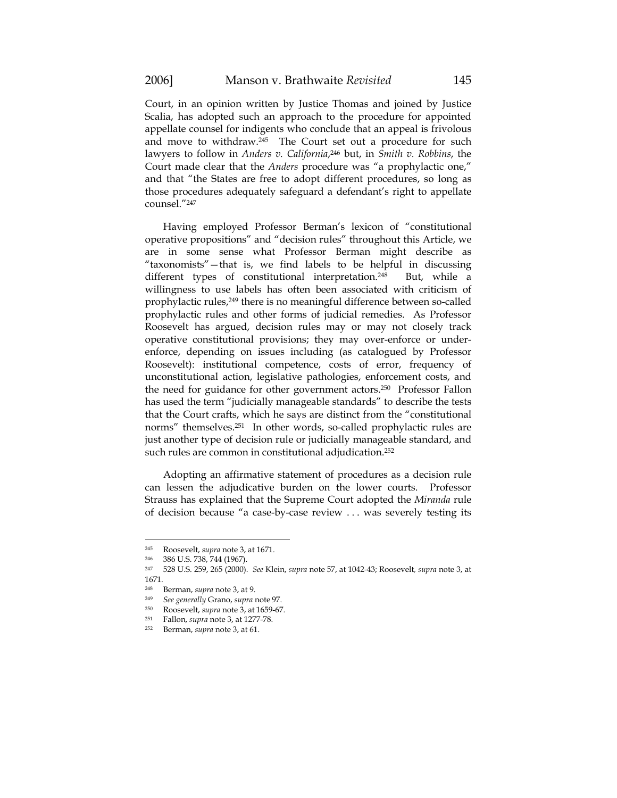Court, in an opinion written by Justice Thomas and joined by Justice Scalia, has adopted such an approach to the procedure for appointed appellate counsel for indigents who conclude that an appeal is frivolous and move to withdraw.245 The Court set out a procedure for such lawyers to follow in *Anders v. California*,246 but, in *Smith v. Robbins*, the Court made clear that the *Anders* procedure was "a prophylactic one," and that "the States are free to adopt different procedures, so long as those procedures adequately safeguard a defendant's right to appellate counsel."247

Having employed Professor Berman's lexicon of "constitutional operative propositions" and "decision rules" throughout this Article, we are in some sense what Professor Berman might describe as "taxonomists"—that is, we find labels to be helpful in discussing different types of constitutional interpretation.248 But, while a willingness to use labels has often been associated with criticism of prophylactic rules,<sup>249</sup> there is no meaningful difference between so-called prophylactic rules and other forms of judicial remedies. As Professor Roosevelt has argued, decision rules may or may not closely track operative constitutional provisions; they may over-enforce or underenforce, depending on issues including (as catalogued by Professor Roosevelt): institutional competence, costs of error, frequency of unconstitutional action, legislative pathologies, enforcement costs, and the need for guidance for other government actors.250 Professor Fallon has used the term "judicially manageable standards" to describe the tests that the Court crafts, which he says are distinct from the "constitutional norms" themselves.251 In other words, so-called prophylactic rules are just another type of decision rule or judicially manageable standard, and such rules are common in constitutional adjudication.<sup>252</sup>

Adopting an affirmative statement of procedures as a decision rule can lessen the adjudicative burden on the lower courts. Professor Strauss has explained that the Supreme Court adopted the *Miranda* rule of decision because "a case-by-case review . . . was severely testing its

<sup>245</sup> Roosevelt, *supra* note 3, at 1671. 246 386 U.S. 738, 744 (1967).

<sup>247 528</sup> U.S. 259, 265 (2000). *See* Klein, *supra* note 57, at 1042-43; Roosevelt*, supra* note 3, at 1671.

<sup>248</sup> Berman, *supra* note 3, at 9. 249 *See generally* Grano, *supra* note 97. 250 Roosevelt, *supra* note 3, at 1659-67.

<sup>251</sup> Fallon, *supra* note 3, at 1277-78. 252 Berman, *supra* note 3, at 61.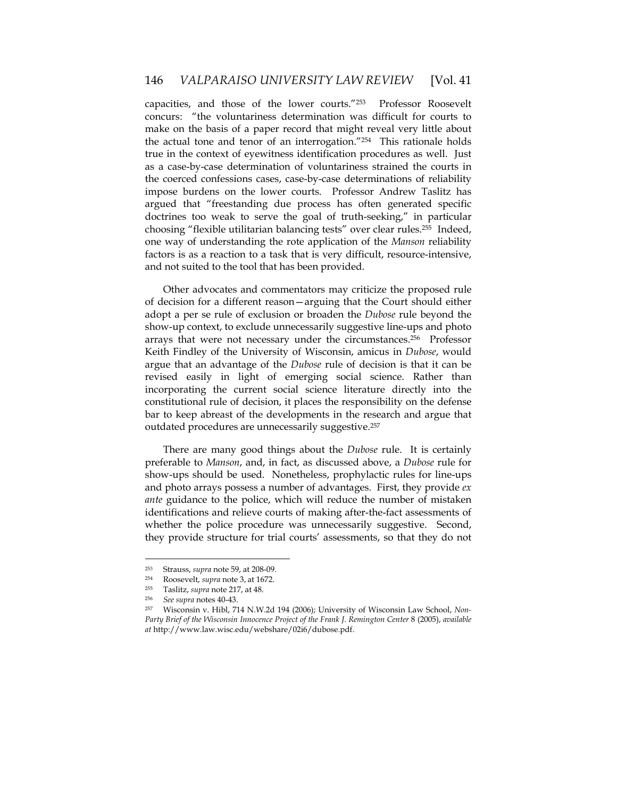capacities, and those of the lower courts."253 Professor Roosevelt concurs: "the voluntariness determination was difficult for courts to make on the basis of a paper record that might reveal very little about the actual tone and tenor of an interrogation."254 This rationale holds true in the context of eyewitness identification procedures as well. Just as a case-by-case determination of voluntariness strained the courts in the coerced confessions cases, case-by-case determinations of reliability impose burdens on the lower courts. Professor Andrew Taslitz has argued that "freestanding due process has often generated specific doctrines too weak to serve the goal of truth-seeking," in particular choosing "flexible utilitarian balancing tests" over clear rules.255 Indeed, one way of understanding the rote application of the *Manson* reliability factors is as a reaction to a task that is very difficult, resource-intensive, and not suited to the tool that has been provided.

Other advocates and commentators may criticize the proposed rule of decision for a different reason—arguing that the Court should either adopt a per se rule of exclusion or broaden the *Dubose* rule beyond the show-up context, to exclude unnecessarily suggestive line-ups and photo arrays that were not necessary under the circumstances.256 Professor Keith Findley of the University of Wisconsin, amicus in *Dubose*, would argue that an advantage of the *Dubose* rule of decision is that it can be revised easily in light of emerging social science. Rather than incorporating the current social science literature directly into the constitutional rule of decision, it places the responsibility on the defense bar to keep abreast of the developments in the research and argue that outdated procedures are unnecessarily suggestive.257

There are many good things about the *Dubose* rule. It is certainly preferable to *Manson*, and, in fact, as discussed above, a *Dubose* rule for show-ups should be used. Nonetheless, prophylactic rules for line-ups and photo arrays possess a number of advantages. First, they provide *ex ante* guidance to the police, which will reduce the number of mistaken identifications and relieve courts of making after-the-fact assessments of whether the police procedure was unnecessarily suggestive. Second, they provide structure for trial courts' assessments, so that they do not

<sup>253</sup> Strauss, *supra* note 59, at 208-09.

<sup>254</sup> Roosevelt, *supra* note 3, at 1672.

<sup>255</sup> Taslitz, *supra* note 217, at 48. 256 *See supra* notes 40-43. 257 Wisconsin v. Hibl, 714 N.W.2d 194 (2006); University of Wisconsin Law School, *Non-Party Brief of the Wisconsin Innocence Project of the Frank J. Remington Center* 8 (2005), *available at* http://www.law.wisc.edu/webshare/02i6/dubose.pdf.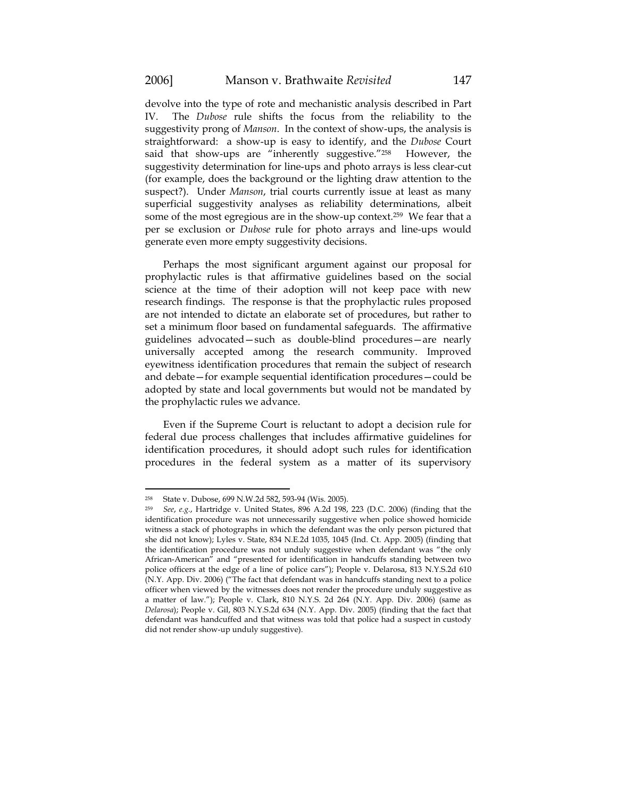$\overline{a}$ 

devolve into the type of rote and mechanistic analysis described in Part IV. The *Dubose* rule shifts the focus from the reliability to the suggestivity prong of *Manson*. In the context of show-ups, the analysis is straightforward: a show-up is easy to identify, and the *Dubose* Court said that show-ups are "inherently suggestive."<sup>258</sup> However, the suggestivity determination for line-ups and photo arrays is less clear-cut (for example, does the background or the lighting draw attention to the suspect?). Under *Manson*, trial courts currently issue at least as many superficial suggestivity analyses as reliability determinations, albeit some of the most egregious are in the show-up context.259 We fear that a per se exclusion or *Dubose* rule for photo arrays and line-ups would generate even more empty suggestivity decisions.

Perhaps the most significant argument against our proposal for prophylactic rules is that affirmative guidelines based on the social science at the time of their adoption will not keep pace with new research findings. The response is that the prophylactic rules proposed are not intended to dictate an elaborate set of procedures, but rather to set a minimum floor based on fundamental safeguards. The affirmative guidelines advocated—such as double-blind procedures—are nearly universally accepted among the research community. Improved eyewitness identification procedures that remain the subject of research and debate—for example sequential identification procedures—could be adopted by state and local governments but would not be mandated by the prophylactic rules we advance.

Even if the Supreme Court is reluctant to adopt a decision rule for federal due process challenges that includes affirmative guidelines for identification procedures, it should adopt such rules for identification procedures in the federal system as a matter of its supervisory

<sup>258</sup> State v. Dubose, 699 N.W.2d 582, 593-94 (Wis. 2005).

<sup>259</sup> *See*, *e.g.*, Hartridge v. United States, 896 A.2d 198, 223 (D.C. 2006) (finding that the identification procedure was not unnecessarily suggestive when police showed homicide witness a stack of photographs in which the defendant was the only person pictured that she did not know); Lyles v. State, 834 N.E.2d 1035, 1045 (Ind. Ct. App. 2005) (finding that the identification procedure was not unduly suggestive when defendant was "the only African-American" and "presented for identification in handcuffs standing between two police officers at the edge of a line of police cars"); People v. Delarosa, 813 N.Y.S.2d 610 (N.Y. App. Div. 2006) ("The fact that defendant was in handcuffs standing next to a police officer when viewed by the witnesses does not render the procedure unduly suggestive as a matter of law."); People v. Clark, 810 N.Y.S. 2d 264 (N.Y. App. Div. 2006) (same as *Delarosa*); People v. Gil, 803 N.Y.S.2d 634 (N.Y. App. Div. 2005) (finding that the fact that defendant was handcuffed and that witness was told that police had a suspect in custody did not render show-up unduly suggestive).